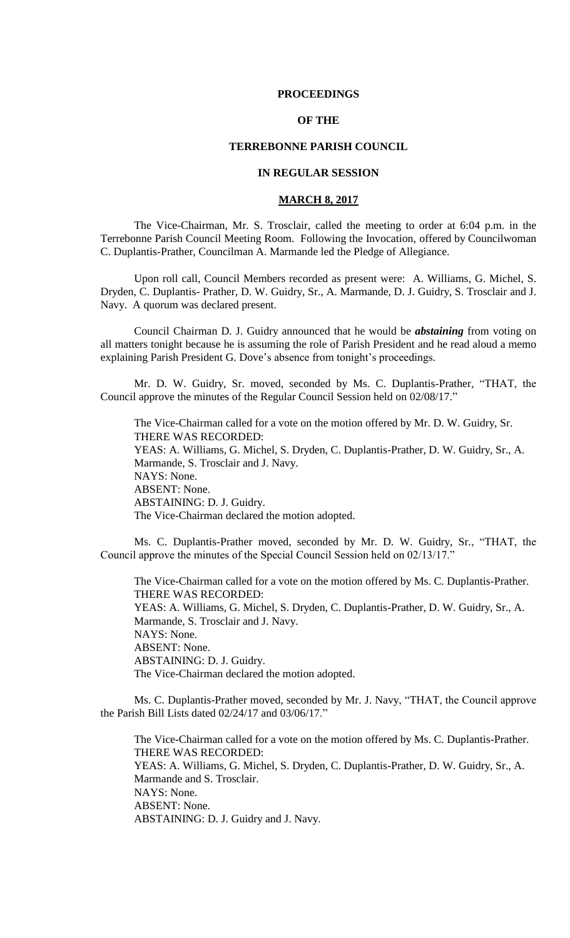### **PROCEEDINGS**

# **OF THE**

### **TERREBONNE PARISH COUNCIL**

## **IN REGULAR SESSION**

# **MARCH 8, 2017**

The Vice-Chairman, Mr. S. Trosclair, called the meeting to order at 6:04 p.m. in the Terrebonne Parish Council Meeting Room. Following the Invocation, offered by Councilwoman C. Duplantis-Prather, Councilman A. Marmande led the Pledge of Allegiance.

Upon roll call, Council Members recorded as present were: A. Williams, G. Michel, S. Dryden, C. Duplantis- Prather, D. W. Guidry, Sr., A. Marmande, D. J. Guidry, S. Trosclair and J. Navy. A quorum was declared present.

Council Chairman D. J. Guidry announced that he would be *abstaining* from voting on all matters tonight because he is assuming the role of Parish President and he read aloud a memo explaining Parish President G. Dove's absence from tonight's proceedings.

Mr. D. W. Guidry, Sr. moved, seconded by Ms. C. Duplantis-Prather, "THAT, the Council approve the minutes of the Regular Council Session held on 02/08/17."

The Vice-Chairman called for a vote on the motion offered by Mr. D. W. Guidry, Sr. THERE WAS RECORDED: YEAS: A. Williams, G. Michel, S. Dryden, C. Duplantis-Prather, D. W. Guidry, Sr., A. Marmande, S. Trosclair and J. Navy. NAYS: None. ABSENT: None. ABSTAINING: D. J. Guidry. The Vice-Chairman declared the motion adopted.

Ms. C. Duplantis-Prather moved, seconded by Mr. D. W. Guidry, Sr., "THAT, the Council approve the minutes of the Special Council Session held on 02/13/17."

The Vice-Chairman called for a vote on the motion offered by Ms. C. Duplantis-Prather. THERE WAS RECORDED: YEAS: A. Williams, G. Michel, S. Dryden, C. Duplantis-Prather, D. W. Guidry, Sr., A. Marmande, S. Trosclair and J. Navy. NAYS: None. ABSENT: None. ABSTAINING: D. J. Guidry. The Vice-Chairman declared the motion adopted.

Ms. C. Duplantis-Prather moved, seconded by Mr. J. Navy, "THAT, the Council approve the Parish Bill Lists dated 02/24/17 and 03/06/17."

The Vice-Chairman called for a vote on the motion offered by Ms. C. Duplantis-Prather. THERE WAS RECORDED: YEAS: A. Williams, G. Michel, S. Dryden, C. Duplantis-Prather, D. W. Guidry, Sr., A. Marmande and S. Trosclair. NAYS: None. ABSENT: None. ABSTAINING: D. J. Guidry and J. Navy.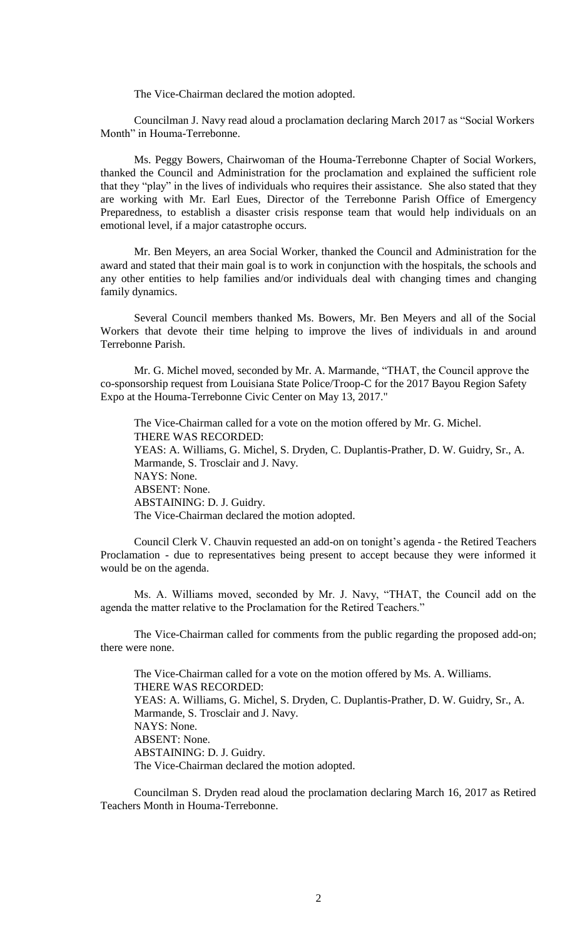The Vice-Chairman declared the motion adopted.

Councilman J. Navy read aloud a proclamation declaring March 2017 as "Social Workers Month" in Houma-Terrebonne.

Ms. Peggy Bowers, Chairwoman of the Houma-Terrebonne Chapter of Social Workers, thanked the Council and Administration for the proclamation and explained the sufficient role that they "play" in the lives of individuals who requires their assistance. She also stated that they are working with Mr. Earl Eues, Director of the Terrebonne Parish Office of Emergency Preparedness, to establish a disaster crisis response team that would help individuals on an emotional level, if a major catastrophe occurs.

Mr. Ben Meyers, an area Social Worker, thanked the Council and Administration for the award and stated that their main goal is to work in conjunction with the hospitals, the schools and any other entities to help families and/or individuals deal with changing times and changing family dynamics.

Several Council members thanked Ms. Bowers, Mr. Ben Meyers and all of the Social Workers that devote their time helping to improve the lives of individuals in and around Terrebonne Parish.

Mr. G. Michel moved, seconded by Mr. A. Marmande, "THAT, the Council approve the co-sponsorship request from Louisiana State Police/Troop-C for the 2017 Bayou Region Safety Expo at the Houma-Terrebonne Civic Center on May 13, 2017."

The Vice-Chairman called for a vote on the motion offered by Mr. G. Michel. THERE WAS RECORDED: YEAS: A. Williams, G. Michel, S. Dryden, C. Duplantis-Prather, D. W. Guidry, Sr., A. Marmande, S. Trosclair and J. Navy. NAYS: None. ABSENT: None. ABSTAINING: D. J. Guidry. The Vice-Chairman declared the motion adopted.

Council Clerk V. Chauvin requested an add-on on tonight's agenda - the Retired Teachers Proclamation - due to representatives being present to accept because they were informed it would be on the agenda.

Ms. A. Williams moved, seconded by Mr. J. Navy, "THAT, the Council add on the agenda the matter relative to the Proclamation for the Retired Teachers."

The Vice-Chairman called for comments from the public regarding the proposed add-on; there were none.

The Vice-Chairman called for a vote on the motion offered by Ms. A. Williams. THERE WAS RECORDED: YEAS: A. Williams, G. Michel, S. Dryden, C. Duplantis-Prather, D. W. Guidry, Sr., A. Marmande, S. Trosclair and J. Navy. NAYS: None. ABSENT: None. ABSTAINING: D. J. Guidry. The Vice-Chairman declared the motion adopted.

Councilman S. Dryden read aloud the proclamation declaring March 16, 2017 as Retired Teachers Month in Houma-Terrebonne.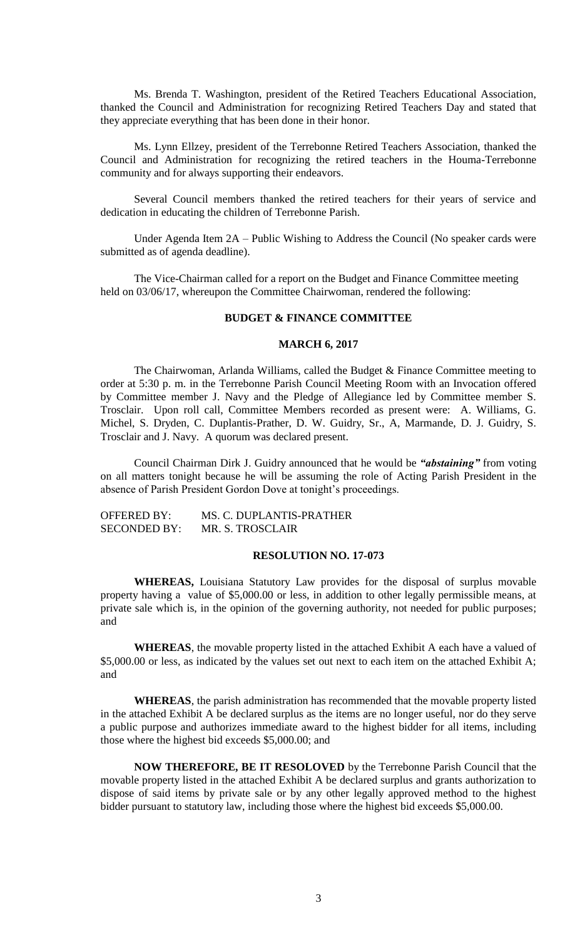Ms. Brenda T. Washington, president of the Retired Teachers Educational Association, thanked the Council and Administration for recognizing Retired Teachers Day and stated that they appreciate everything that has been done in their honor.

Ms. Lynn Ellzey, president of the Terrebonne Retired Teachers Association, thanked the Council and Administration for recognizing the retired teachers in the Houma-Terrebonne community and for always supporting their endeavors.

Several Council members thanked the retired teachers for their years of service and dedication in educating the children of Terrebonne Parish.

Under Agenda Item 2A – Public Wishing to Address the Council (No speaker cards were submitted as of agenda deadline).

The Vice-Chairman called for a report on the Budget and Finance Committee meeting held on 03/06/17, whereupon the Committee Chairwoman, rendered the following:

### **BUDGET & FINANCE COMMITTEE**

#### **MARCH 6, 2017**

The Chairwoman, Arlanda Williams, called the Budget & Finance Committee meeting to order at 5:30 p. m. in the Terrebonne Parish Council Meeting Room with an Invocation offered by Committee member J. Navy and the Pledge of Allegiance led by Committee member S. Trosclair. Upon roll call, Committee Members recorded as present were: A. Williams, G. Michel, S. Dryden, C. Duplantis-Prather, D. W. Guidry, Sr., A, Marmande, D. J. Guidry, S. Trosclair and J. Navy. A quorum was declared present.

Council Chairman Dirk J. Guidry announced that he would be *"abstaining"* from voting on all matters tonight because he will be assuming the role of Acting Parish President in the absence of Parish President Gordon Dove at tonight's proceedings.

| <b>OFFERED BY:</b>  | MS. C. DUPLANTIS-PRATHER |
|---------------------|--------------------------|
| <b>SECONDED BY:</b> | MR. S. TROSCLAIR         |

## **RESOLUTION NO. 17-073**

**WHEREAS,** Louisiana Statutory Law provides for the disposal of surplus movable property having a value of \$5,000.00 or less, in addition to other legally permissible means, at private sale which is, in the opinion of the governing authority, not needed for public purposes; and

**WHEREAS**, the movable property listed in the attached Exhibit A each have a valued of \$5,000.00 or less, as indicated by the values set out next to each item on the attached Exhibit A; and

**WHEREAS**, the parish administration has recommended that the movable property listed in the attached Exhibit A be declared surplus as the items are no longer useful, nor do they serve a public purpose and authorizes immediate award to the highest bidder for all items, including those where the highest bid exceeds \$5,000.00; and

**NOW THEREFORE, BE IT RESOLOVED** by the Terrebonne Parish Council that the movable property listed in the attached Exhibit A be declared surplus and grants authorization to dispose of said items by private sale or by any other legally approved method to the highest bidder pursuant to statutory law, including those where the highest bid exceeds \$5,000.00.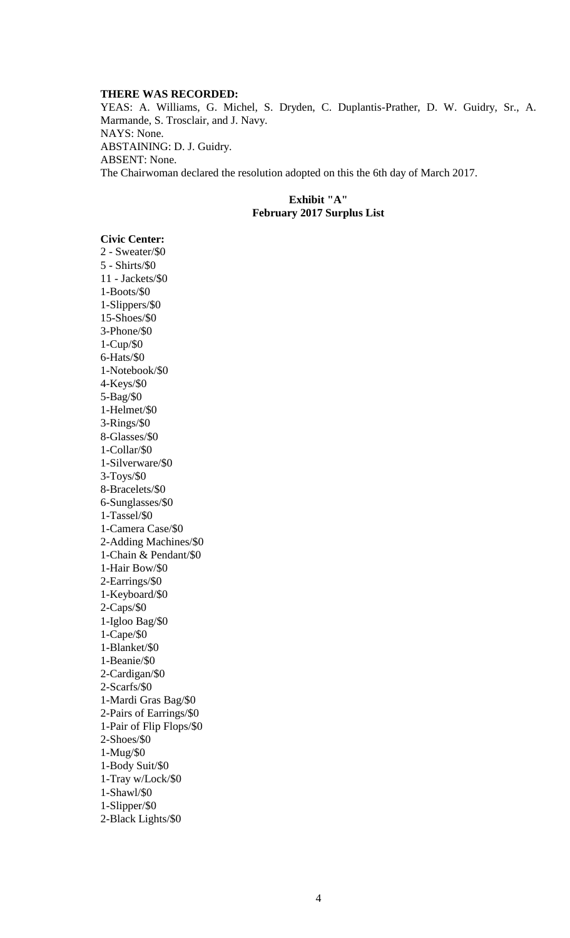#### **THERE WAS RECORDED:**

YEAS: A. Williams, G. Michel, S. Dryden, C. Duplantis-Prather, D. W. Guidry, Sr., A. Marmande, S. Trosclair, and J. Navy. NAYS: None. ABSTAINING: D. J. Guidry. ABSENT: None. The Chairwoman declared the resolution adopted on this the 6th day of March 2017.

# **Exhibit "A" February 2017 Surplus List**

# **Civic Center:**

2 - Sweater/\$0 5 - Shirts/\$0 11 - Jackets/\$0 1-Boots/\$0 1-Slippers/\$0 15-Shoes/\$0 3-Phone/\$0 1-Cup/\$0 6-Hats/\$0 1-Notebook/\$0 4-Keys/\$0 5-Bag/\$0 1-Helmet/\$0 3-Rings/\$0 8-Glasses/\$0 1-Collar/\$0 1-Silverware/\$0 3-Toys/\$0 8-Bracelets/\$0 6-Sunglasses/\$0 1-Tassel/\$0 1-Camera Case/\$0 2-Adding Machines/\$0 1-Chain & Pendant/\$0 1-Hair Bow/\$0 2-Earrings/\$0 1-Keyboard/\$0 2-Caps/\$0 1-Igloo Bag/\$0 1-Cape/\$0 1-Blanket/\$0 1-Beanie/\$0 2-Cardigan/\$0 2-Scarfs/\$0 1-Mardi Gras Bag/\$0 2-Pairs of Earrings/\$0 1-Pair of Flip Flops/\$0 2-Shoes/\$0 1-Mug/\$0 1-Body Suit/\$0 1-Tray w/Lock/\$0 1-Shawl/\$0 1-Slipper/\$0 2-Black Lights/\$0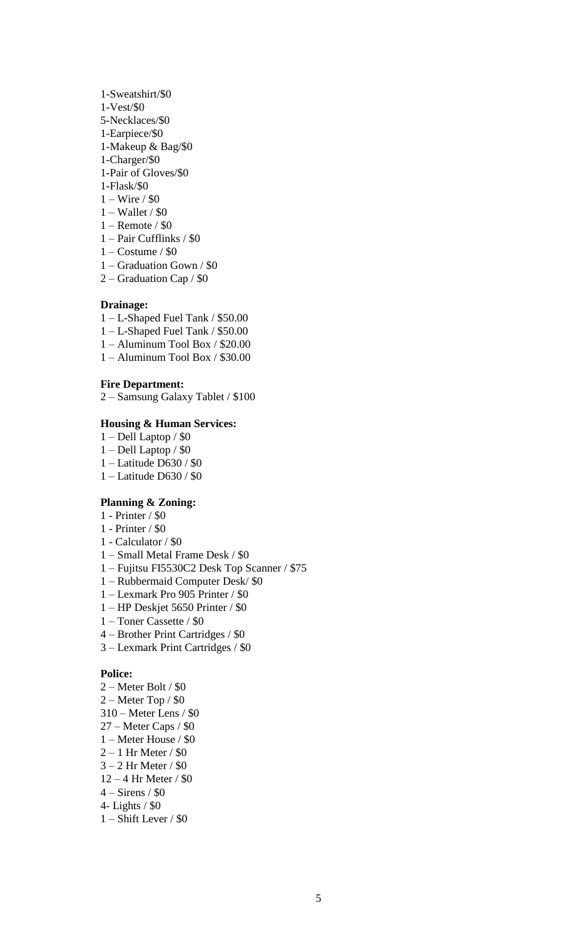- 1-Sweatshirt/\$0
- 1-Vest/\$0
- 5-Necklaces/\$0
- 1-Earpiece/\$0
- 1-Makeup & Bag/\$0
- 1-Charger/\$0
- 1-Pair of Gloves/\$0
- 1-Flask/\$0
- 1 Wire / \$0
- 1 Wallet / \$0
- 1 Remote / \$0
- 1 Pair Cufflinks / \$0
- $1 Costume / $0$
- 1 Graduation Gown / \$0
- 2 Graduation Cap / \$0

# **Drainage:**

- 1 L-Shaped Fuel Tank / \$50.00
- 1 L-Shaped Fuel Tank / \$50.00
- 1 Aluminum Tool Box / \$20.00
- 1 Aluminum Tool Box / \$30.00

## **Fire Department:**

2 – Samsung Galaxy Tablet / \$100

# **Housing & Human Services:**

- 1 Dell Laptop / \$0
- 1 Dell Laptop / \$0
- 1 Latitude D630 / \$0
- 1 Latitude D630 / \$0

# **Planning & Zoning:**

- 1 Printer / \$0
- 1 Printer / \$0
- 1 Calculator / \$0
- 1 Small Metal Frame Desk / \$0
- 1 Fujitsu FI5530C2 Desk Top Scanner / \$75
- 1 Rubbermaid Computer Desk/ \$0
- 1 Lexmark Pro 905 Printer / \$0
- 1 HP Deskjet 5650 Printer / \$0
- 1 Toner Cassette / \$0
- 4 Brother Print Cartridges / \$0
- 3 Lexmark Print Cartridges / \$0

### **Police:**

- 2 Meter Bolt / \$0
- 2 Meter Top / \$0
- 310 Meter Lens / \$0
- 27 Meter Caps / \$0
- 1 Meter House / \$0
- $2 1$  Hr Meter / \$0
- 3 2 Hr Meter / \$0
- 12 4 Hr Meter / \$0
- 4 Sirens / \$0
- 4- Lights / \$0
- 1 Shift Lever / \$0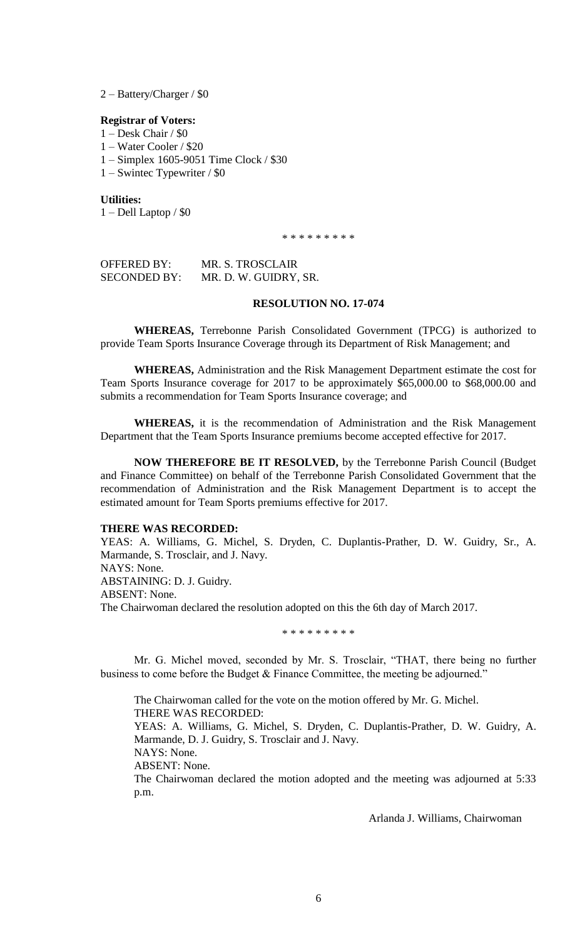2 – Battery/Charger / \$0

#### **Registrar of Voters:**

1 – Desk Chair / \$0

1 – Water Cooler / \$20

- 1 Simplex 1605-9051 Time Clock / \$30
- 1 Swintec Typewriter / \$0

**Utilities:** 1 – Dell Laptop / \$0

\* \* \* \* \* \* \* \* \*

OFFERED BY: MR. S. TROSCLAIR SECONDED BY: MR. D. W. GUIDRY, SR.

# **RESOLUTION NO. 17-074**

**WHEREAS,** Terrebonne Parish Consolidated Government (TPCG) is authorized to provide Team Sports Insurance Coverage through its Department of Risk Management; and

**WHEREAS,** Administration and the Risk Management Department estimate the cost for Team Sports Insurance coverage for 2017 to be approximately \$65,000.00 to \$68,000.00 and submits a recommendation for Team Sports Insurance coverage; and

**WHEREAS,** it is the recommendation of Administration and the Risk Management Department that the Team Sports Insurance premiums become accepted effective for 2017.

**NOW THEREFORE BE IT RESOLVED,** by the Terrebonne Parish Council (Budget and Finance Committee) on behalf of the Terrebonne Parish Consolidated Government that the recommendation of Administration and the Risk Management Department is to accept the estimated amount for Team Sports premiums effective for 2017.

### **THERE WAS RECORDED:**

YEAS: A. Williams, G. Michel, S. Dryden, C. Duplantis-Prather, D. W. Guidry, Sr., A. Marmande, S. Trosclair, and J. Navy. NAYS: None. ABSTAINING: D. J. Guidry. ABSENT: None. The Chairwoman declared the resolution adopted on this the 6th day of March 2017.

\* \* \* \* \* \* \* \* \*

Mr. G. Michel moved, seconded by Mr. S. Trosclair, "THAT, there being no further business to come before the Budget & Finance Committee, the meeting be adjourned."

The Chairwoman called for the vote on the motion offered by Mr. G. Michel. THERE WAS RECORDED:

YEAS: A. Williams, G. Michel, S. Dryden, C. Duplantis-Prather, D. W. Guidry, A. Marmande, D. J. Guidry, S. Trosclair and J. Navy.

NAYS: None.

ABSENT: None.

The Chairwoman declared the motion adopted and the meeting was adjourned at 5:33 p.m.

Arlanda J. Williams, Chairwoman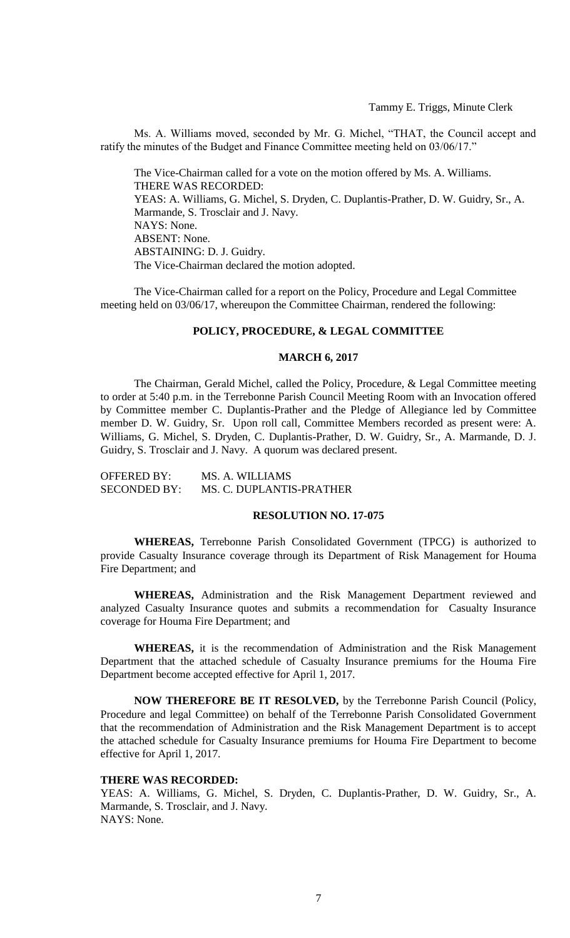Ms. A. Williams moved, seconded by Mr. G. Michel, "THAT, the Council accept and ratify the minutes of the Budget and Finance Committee meeting held on 03/06/17."

The Vice-Chairman called for a vote on the motion offered by Ms. A. Williams. THERE WAS RECORDED: YEAS: A. Williams, G. Michel, S. Dryden, C. Duplantis-Prather, D. W. Guidry, Sr., A. Marmande, S. Trosclair and J. Navy. NAYS: None. ABSENT: None. ABSTAINING: D. J. Guidry. The Vice-Chairman declared the motion adopted.

The Vice-Chairman called for a report on the Policy, Procedure and Legal Committee meeting held on 03/06/17, whereupon the Committee Chairman, rendered the following:

#### **POLICY, PROCEDURE, & LEGAL COMMITTEE**

### **MARCH 6, 2017**

The Chairman, Gerald Michel, called the Policy, Procedure, & Legal Committee meeting to order at 5:40 p.m. in the Terrebonne Parish Council Meeting Room with an Invocation offered by Committee member C. Duplantis-Prather and the Pledge of Allegiance led by Committee member D. W. Guidry, Sr. Upon roll call, Committee Members recorded as present were: A. Williams, G. Michel, S. Dryden, C. Duplantis-Prather, D. W. Guidry, Sr., A. Marmande, D. J. Guidry, S. Trosclair and J. Navy. A quorum was declared present.

| <b>OFFERED BY:</b>  | MS. A. WILLIAMS          |
|---------------------|--------------------------|
| <b>SECONDED BY:</b> | MS. C. DUPLANTIS-PRATHER |

### **RESOLUTION NO. 17-075**

**WHEREAS,** Terrebonne Parish Consolidated Government (TPCG) is authorized to provide Casualty Insurance coverage through its Department of Risk Management for Houma Fire Department; and

**WHEREAS,** Administration and the Risk Management Department reviewed and analyzed Casualty Insurance quotes and submits a recommendation for Casualty Insurance coverage for Houma Fire Department; and

**WHEREAS,** it is the recommendation of Administration and the Risk Management Department that the attached schedule of Casualty Insurance premiums for the Houma Fire Department become accepted effective for April 1, 2017.

**NOW THEREFORE BE IT RESOLVED,** by the Terrebonne Parish Council (Policy, Procedure and legal Committee) on behalf of the Terrebonne Parish Consolidated Government that the recommendation of Administration and the Risk Management Department is to accept the attached schedule for Casualty Insurance premiums for Houma Fire Department to become effective for April 1, 2017.

### **THERE WAS RECORDED:**

YEAS: A. Williams, G. Michel, S. Dryden, C. Duplantis-Prather, D. W. Guidry, Sr., A. Marmande, S. Trosclair, and J. Navy. NAYS: None.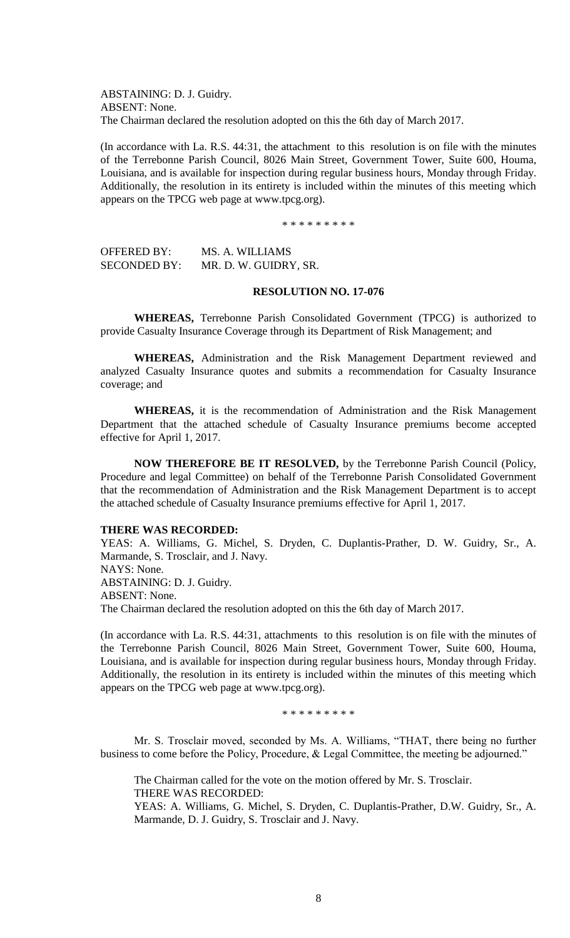ABSTAINING: D. J. Guidry. ABSENT: None. The Chairman declared the resolution adopted on this the 6th day of March 2017.

(In accordance with La. R.S. 44:31, the attachment to this resolution is on file with the minutes of the Terrebonne Parish Council, 8026 Main Street, Government Tower, Suite 600, Houma, Louisiana, and is available for inspection during regular business hours, Monday through Friday. Additionally, the resolution in its entirety is included within the minutes of this meeting which appears on the TPCG web page at www.tpcg.org).

\* \* \* \* \* \* \* \*

OFFERED BY: MS. A. WILLIAMS SECONDED BY: MR. D. W. GUIDRY, SR.

# **RESOLUTION NO. 17-076**

**WHEREAS,** Terrebonne Parish Consolidated Government (TPCG) is authorized to provide Casualty Insurance Coverage through its Department of Risk Management; and

**WHEREAS,** Administration and the Risk Management Department reviewed and analyzed Casualty Insurance quotes and submits a recommendation for Casualty Insurance coverage; and

**WHEREAS,** it is the recommendation of Administration and the Risk Management Department that the attached schedule of Casualty Insurance premiums become accepted effective for April 1, 2017.

**NOW THEREFORE BE IT RESOLVED,** by the Terrebonne Parish Council (Policy, Procedure and legal Committee) on behalf of the Terrebonne Parish Consolidated Government that the recommendation of Administration and the Risk Management Department is to accept the attached schedule of Casualty Insurance premiums effective for April 1, 2017.

### **THERE WAS RECORDED:**

YEAS: A. Williams, G. Michel, S. Dryden, C. Duplantis-Prather, D. W. Guidry, Sr., A. Marmande, S. Trosclair, and J. Navy. NAYS: None. ABSTAINING: D. J. Guidry. ABSENT: None.

The Chairman declared the resolution adopted on this the 6th day of March 2017.

(In accordance with La. R.S. 44:31, attachments to this resolution is on file with the minutes of the Terrebonne Parish Council, 8026 Main Street, Government Tower, Suite 600, Houma, Louisiana, and is available for inspection during regular business hours, Monday through Friday. Additionally, the resolution in its entirety is included within the minutes of this meeting which appears on the TPCG web page at www.tpcg.org).

\* \* \* \* \* \* \* \* \*

Mr. S. Trosclair moved, seconded by Ms. A. Williams, "THAT, there being no further business to come before the Policy, Procedure, & Legal Committee, the meeting be adjourned."

The Chairman called for the vote on the motion offered by Mr. S. Trosclair. THERE WAS RECORDED: YEAS: A. Williams, G. Michel, S. Dryden, C. Duplantis-Prather, D.W. Guidry, Sr., A. Marmande, D. J. Guidry, S. Trosclair and J. Navy.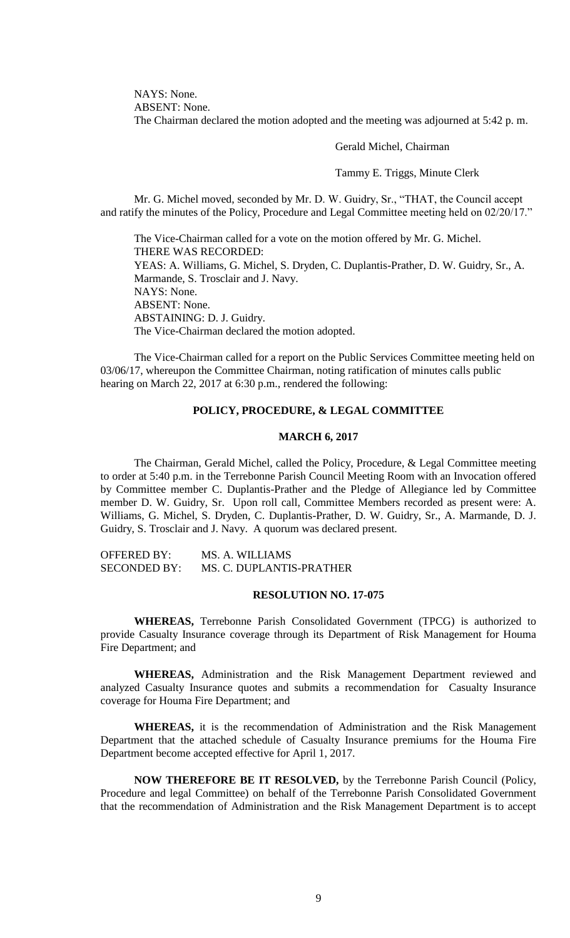NAYS: None. ABSENT: None. The Chairman declared the motion adopted and the meeting was adjourned at 5:42 p. m.

Gerald Michel, Chairman

Tammy E. Triggs, Minute Clerk

Mr. G. Michel moved, seconded by Mr. D. W. Guidry, Sr., "THAT, the Council accept and ratify the minutes of the Policy, Procedure and Legal Committee meeting held on 02/20/17."

The Vice-Chairman called for a vote on the motion offered by Mr. G. Michel. THERE WAS RECORDED: YEAS: A. Williams, G. Michel, S. Dryden, C. Duplantis-Prather, D. W. Guidry, Sr., A. Marmande, S. Trosclair and J. Navy. NAYS: None. ABSENT: None. ABSTAINING: D. J. Guidry. The Vice-Chairman declared the motion adopted.

The Vice-Chairman called for a report on the Public Services Committee meeting held on 03/06/17, whereupon the Committee Chairman, noting ratification of minutes calls public hearing on March 22, 2017 at 6:30 p.m., rendered the following:

# **POLICY, PROCEDURE, & LEGAL COMMITTEE**

## **MARCH 6, 2017**

The Chairman, Gerald Michel, called the Policy, Procedure, & Legal Committee meeting to order at 5:40 p.m. in the Terrebonne Parish Council Meeting Room with an Invocation offered by Committee member C. Duplantis-Prather and the Pledge of Allegiance led by Committee member D. W. Guidry, Sr. Upon roll call, Committee Members recorded as present were: A. Williams, G. Michel, S. Dryden, C. Duplantis-Prather, D. W. Guidry, Sr., A. Marmande, D. J. Guidry, S. Trosclair and J. Navy. A quorum was declared present.

OFFERED BY: MS. A. WILLIAMS SECONDED BY: MS. C. DUPLANTIS-PRATHER

### **RESOLUTION NO. 17-075**

**WHEREAS,** Terrebonne Parish Consolidated Government (TPCG) is authorized to provide Casualty Insurance coverage through its Department of Risk Management for Houma Fire Department; and

**WHEREAS,** Administration and the Risk Management Department reviewed and analyzed Casualty Insurance quotes and submits a recommendation for Casualty Insurance coverage for Houma Fire Department; and

**WHEREAS,** it is the recommendation of Administration and the Risk Management Department that the attached schedule of Casualty Insurance premiums for the Houma Fire Department become accepted effective for April 1, 2017.

**NOW THEREFORE BE IT RESOLVED,** by the Terrebonne Parish Council (Policy, Procedure and legal Committee) on behalf of the Terrebonne Parish Consolidated Government that the recommendation of Administration and the Risk Management Department is to accept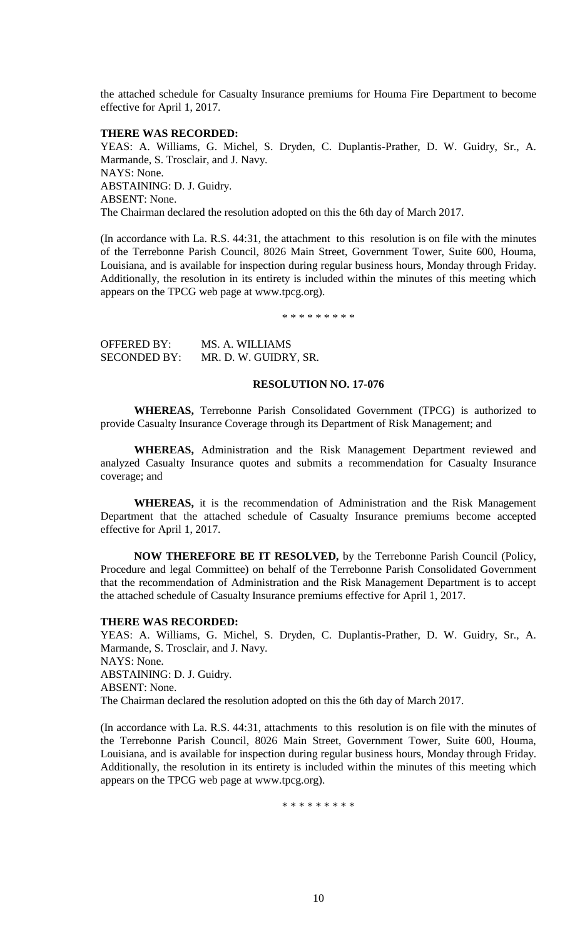the attached schedule for Casualty Insurance premiums for Houma Fire Department to become effective for April 1, 2017.

### **THERE WAS RECORDED:**

YEAS: A. Williams, G. Michel, S. Dryden, C. Duplantis-Prather, D. W. Guidry, Sr., A. Marmande, S. Trosclair, and J. Navy. NAYS: None. ABSTAINING: D. J. Guidry. ABSENT: None. The Chairman declared the resolution adopted on this the 6th day of March 2017.

(In accordance with La. R.S. 44:31, the attachment to this resolution is on file with the minutes of the Terrebonne Parish Council, 8026 Main Street, Government Tower, Suite 600, Houma, Louisiana, and is available for inspection during regular business hours, Monday through Friday. Additionally, the resolution in its entirety is included within the minutes of this meeting which appears on the TPCG web page at www.tpcg.org).

\* \* \* \* \* \* \* \* \*

| OFFERED BY:         | MS. A. WILLIAMS       |
|---------------------|-----------------------|
| <b>SECONDED BY:</b> | MR. D. W. GUIDRY, SR. |

#### **RESOLUTION NO. 17-076**

**WHEREAS,** Terrebonne Parish Consolidated Government (TPCG) is authorized to provide Casualty Insurance Coverage through its Department of Risk Management; and

**WHEREAS,** Administration and the Risk Management Department reviewed and analyzed Casualty Insurance quotes and submits a recommendation for Casualty Insurance coverage; and

**WHEREAS,** it is the recommendation of Administration and the Risk Management Department that the attached schedule of Casualty Insurance premiums become accepted effective for April 1, 2017.

**NOW THEREFORE BE IT RESOLVED,** by the Terrebonne Parish Council (Policy, Procedure and legal Committee) on behalf of the Terrebonne Parish Consolidated Government that the recommendation of Administration and the Risk Management Department is to accept the attached schedule of Casualty Insurance premiums effective for April 1, 2017.

#### **THERE WAS RECORDED:**

YEAS: A. Williams, G. Michel, S. Dryden, C. Duplantis-Prather, D. W. Guidry, Sr., A. Marmande, S. Trosclair, and J. Navy. NAYS: None. ABSTAINING: D. J. Guidry. ABSENT: None. The Chairman declared the resolution adopted on this the 6th day of March 2017.

(In accordance with La. R.S. 44:31, attachments to this resolution is on file with the minutes of the Terrebonne Parish Council, 8026 Main Street, Government Tower, Suite 600, Houma, Louisiana, and is available for inspection during regular business hours, Monday through Friday. Additionally, the resolution in its entirety is included within the minutes of this meeting which appears on the TPCG web page at www.tpcg.org).

\* \* \* \* \* \* \* \* \*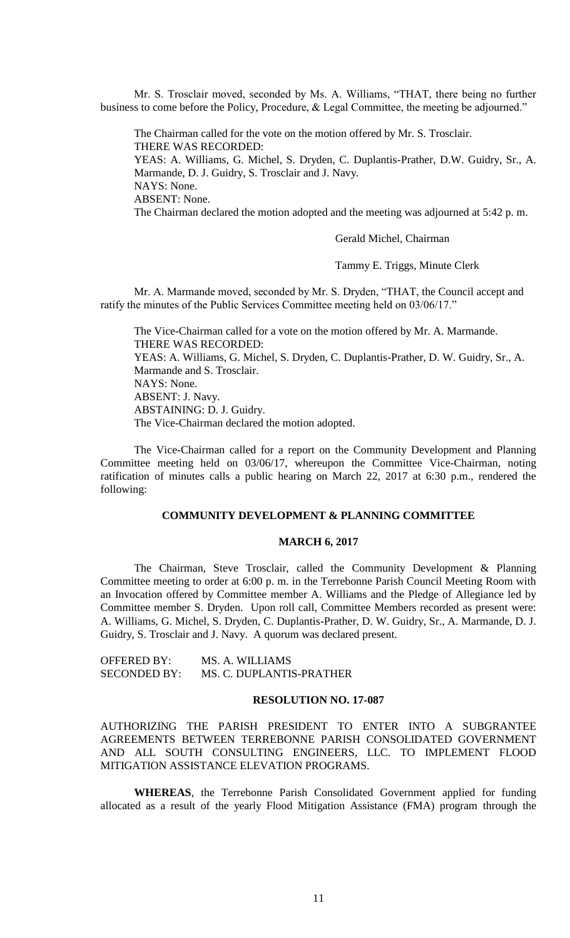Mr. S. Trosclair moved, seconded by Ms. A. Williams, "THAT, there being no further business to come before the Policy, Procedure, & Legal Committee, the meeting be adjourned."

The Chairman called for the vote on the motion offered by Mr. S. Trosclair. THERE WAS RECORDED: YEAS: A. Williams, G. Michel, S. Dryden, C. Duplantis-Prather, D.W. Guidry, Sr., A. Marmande, D. J. Guidry, S. Trosclair and J. Navy. NAYS: None. ABSENT: None. The Chairman declared the motion adopted and the meeting was adjourned at 5:42 p. m.

Gerald Michel, Chairman

Tammy E. Triggs, Minute Clerk

Mr. A. Marmande moved, seconded by Mr. S. Dryden, "THAT, the Council accept and ratify the minutes of the Public Services Committee meeting held on 03/06/17."

The Vice-Chairman called for a vote on the motion offered by Mr. A. Marmande. THERE WAS RECORDED: YEAS: A. Williams, G. Michel, S. Dryden, C. Duplantis-Prather, D. W. Guidry, Sr., A. Marmande and S. Trosclair. NAYS: None. ABSENT: J. Navy. ABSTAINING: D. J. Guidry. The Vice-Chairman declared the motion adopted.

The Vice-Chairman called for a report on the Community Development and Planning Committee meeting held on 03/06/17, whereupon the Committee Vice-Chairman, noting ratification of minutes calls a public hearing on March 22, 2017 at 6:30 p.m., rendered the following:

### **COMMUNITY DEVELOPMENT & PLANNING COMMITTEE**

### **MARCH 6, 2017**

The Chairman, Steve Trosclair, called the Community Development & Planning Committee meeting to order at 6:00 p. m. in the Terrebonne Parish Council Meeting Room with an Invocation offered by Committee member A. Williams and the Pledge of Allegiance led by Committee member S. Dryden. Upon roll call, Committee Members recorded as present were: A. Williams, G. Michel, S. Dryden, C. Duplantis-Prather, D. W. Guidry, Sr., A. Marmande, D. J. Guidry, S. Trosclair and J. Navy. A quorum was declared present.

OFFERED BY: MS. A. WILLIAMS SECONDED BY: MS. C. DUPLANTIS-PRATHER

### **RESOLUTION NO. 17-087**

AUTHORIZING THE PARISH PRESIDENT TO ENTER INTO A SUBGRANTEE AGREEMENTS BETWEEN TERREBONNE PARISH CONSOLIDATED GOVERNMENT AND ALL SOUTH CONSULTING ENGINEERS, LLC. TO IMPLEMENT FLOOD MITIGATION ASSISTANCE ELEVATION PROGRAMS.

**WHEREAS**, the Terrebonne Parish Consolidated Government applied for funding allocated as a result of the yearly Flood Mitigation Assistance (FMA) program through the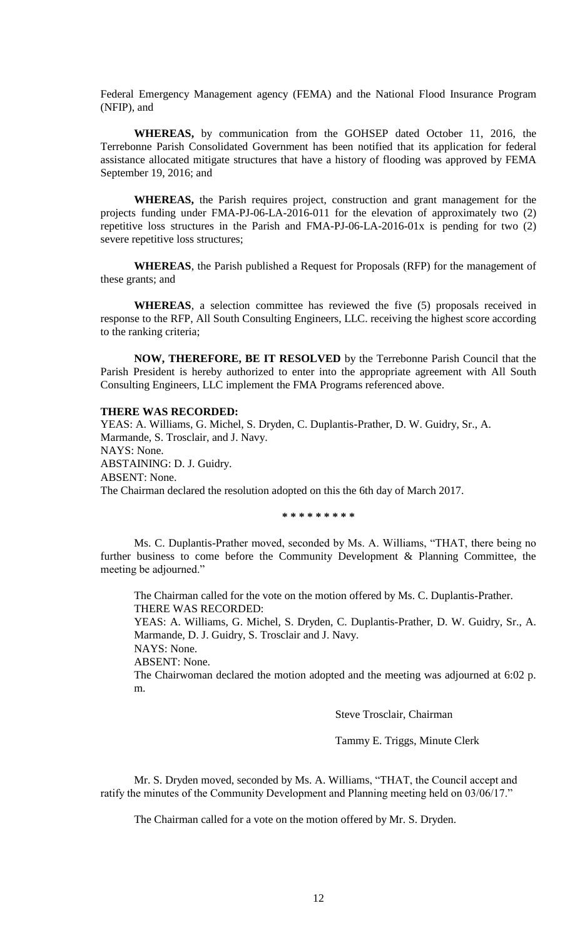Federal Emergency Management agency (FEMA) and the National Flood Insurance Program (NFIP), and

**WHEREAS,** by communication from the GOHSEP dated October 11, 2016, the Terrebonne Parish Consolidated Government has been notified that its application for federal assistance allocated mitigate structures that have a history of flooding was approved by FEMA September 19, 2016; and

**WHEREAS,** the Parish requires project, construction and grant management for the projects funding under FMA-PJ-06-LA-2016-011 for the elevation of approximately two (2) repetitive loss structures in the Parish and FMA-PJ-06-LA-2016-01x is pending for two (2) severe repetitive loss structures;

**WHEREAS**, the Parish published a Request for Proposals (RFP) for the management of these grants; and

**WHEREAS**, a selection committee has reviewed the five (5) proposals received in response to the RFP, All South Consulting Engineers, LLC. receiving the highest score according to the ranking criteria;

**NOW, THEREFORE, BE IT RESOLVED** by the Terrebonne Parish Council that the Parish President is hereby authorized to enter into the appropriate agreement with All South Consulting Engineers, LLC implement the FMA Programs referenced above.

## **THERE WAS RECORDED:**

YEAS: A. Williams, G. Michel, S. Dryden, C. Duplantis-Prather, D. W. Guidry, Sr., A. Marmande, S. Trosclair, and J. Navy. NAYS: None. ABSTAINING: D. J. Guidry. ABSENT: None. The Chairman declared the resolution adopted on this the 6th day of March 2017.

**\* \* \* \* \* \* \* \* \***

Ms. C. Duplantis-Prather moved, seconded by Ms. A. Williams, "THAT, there being no further business to come before the Community Development & Planning Committee, the meeting be adjourned."

The Chairman called for the vote on the motion offered by Ms. C. Duplantis-Prather. THERE WAS RECORDED:

YEAS: A. Williams, G. Michel, S. Dryden, C. Duplantis-Prather, D. W. Guidry, Sr., A. Marmande, D. J. Guidry, S. Trosclair and J. Navy.

NAYS: None.

ABSENT: None.

The Chairwoman declared the motion adopted and the meeting was adjourned at 6:02 p. m.

Steve Trosclair, Chairman

Tammy E. Triggs, Minute Clerk

Mr. S. Dryden moved, seconded by Ms. A. Williams, "THAT, the Council accept and ratify the minutes of the Community Development and Planning meeting held on 03/06/17."

The Chairman called for a vote on the motion offered by Mr. S. Dryden.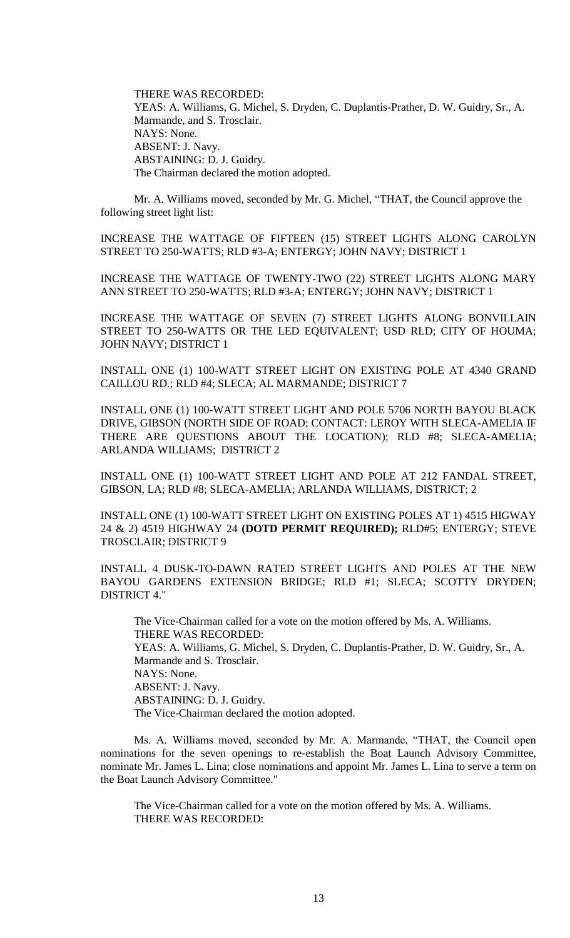THERE WAS RECORDED: YEAS: A. Williams, G. Michel, S. Dryden, C. Duplantis-Prather, D. W. Guidry, Sr., A. Marmande, and S. Trosclair. NAYS: None. ABSENT: J. Navy. ABSTAINING: D. J. Guidry. The Chairman declared the motion adopted.

Mr. A. Williams moved, seconded by Mr. G. Michel, "THAT, the Council approve the following street light list:

INCREASE THE WATTAGE OF FIFTEEN (15) STREET LIGHTS ALONG CAROLYN STREET TO 250-WATTS; RLD #3-A; ENTERGY; JOHN NAVY; DISTRICT 1

INCREASE THE WATTAGE OF TWENTY-TWO (22) STREET LIGHTS ALONG MARY ANN STREET TO 250-WATTS; RLD #3-A; ENTERGY; JOHN NAVY; DISTRICT 1

INCREASE THE WATTAGE OF SEVEN (7) STREET LIGHTS ALONG BONVILLAIN STREET TO 250-WATTS OR THE LED EQUIVALENT; USD RLD; CITY OF HOUMA; JOHN NAVY; DISTRICT 1

INSTALL ONE (1) 100-WATT STREET LIGHT ON EXISTING POLE AT 4340 GRAND CAILLOU RD.; RLD #4; SLECA; AL MARMANDE; DISTRICT 7

INSTALL ONE (1) 100-WATT STREET LIGHT AND POLE 5706 NORTH BAYOU BLACK DRIVE, GIBSON (NORTH SIDE OF ROAD; CONTACT: LEROY WITH SLECA-AMELIA IF THERE ARE QUESTIONS ABOUT THE LOCATION); RLD #8; SLECA-AMELIA; ARLANDA WILLIAMS; DISTRICT 2

INSTALL ONE (1) 100-WATT STREET LIGHT AND POLE AT 212 FANDAL STREET, GIBSON, LA; RLD #8; SLECA-AMELIA; ARLANDA WILLIAMS, DISTRICT; 2

INSTALL ONE (1) 100-WATT STREET LIGHT ON EXISTING POLES AT 1) 4515 HIGWAY 24 & 2) 4519 HIGHWAY 24 **(DOTD PERMIT REQUIRED);** RLD#5; ENTERGY; STEVE TROSCLAIR; DISTRICT 9

INSTALL 4 DUSK-TO-DAWN RATED STREET LIGHTS AND POLES AT THE NEW BAYOU GARDENS EXTENSION BRIDGE; RLD #1; SLECA; SCOTTY DRYDEN; DISTRICT 4."

The Vice-Chairman called for a vote on the motion offered by Ms. A. Williams. THERE WAS RECORDED: YEAS: A. Williams, G. Michel, S. Dryden, C. Duplantis-Prather, D. W. Guidry, Sr., A. Marmande and S. Trosclair. NAYS: None. ABSENT: J. Navy. ABSTAINING: D. J. Guidry. The Vice-Chairman declared the motion adopted.

Ms. A. Williams moved, seconded by Mr. A. Marmande, "THAT, the Council open nominations for the seven openings to re-establish the Boat Launch Advisory Committee, nominate Mr. James L. Lina; close nominations and appoint Mr. James L. Lina to serve a term on the Boat Launch Advisory Committee."

The Vice-Chairman called for a vote on the motion offered by Ms. A. Williams. THERE WAS RECORDED: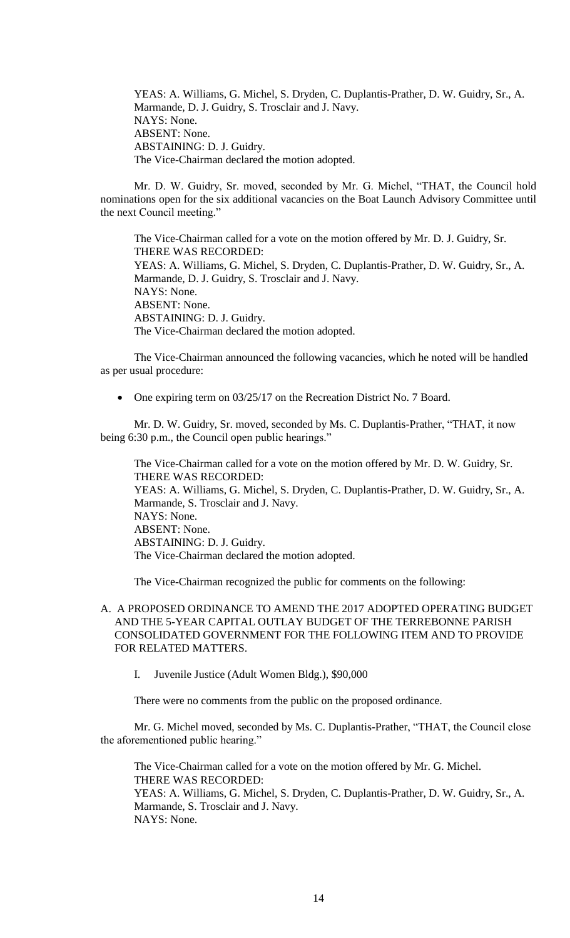YEAS: A. Williams, G. Michel, S. Dryden, C. Duplantis-Prather, D. W. Guidry, Sr., A. Marmande, D. J. Guidry, S. Trosclair and J. Navy. NAYS: None. ABSENT: None. ABSTAINING: D. J. Guidry. The Vice-Chairman declared the motion adopted.

Mr. D. W. Guidry, Sr. moved, seconded by Mr. G. Michel, "THAT, the Council hold nominations open for the six additional vacancies on the Boat Launch Advisory Committee until the next Council meeting."

The Vice-Chairman called for a vote on the motion offered by Mr. D. J. Guidry, Sr. THERE WAS RECORDED: YEAS: A. Williams, G. Michel, S. Dryden, C. Duplantis-Prather, D. W. Guidry, Sr., A. Marmande, D. J. Guidry, S. Trosclair and J. Navy. NAYS: None. ABSENT: None. ABSTAINING: D. J. Guidry. The Vice-Chairman declared the motion adopted.

The Vice-Chairman announced the following vacancies, which he noted will be handled as per usual procedure:

• One expiring term on 03/25/17 on the Recreation District No. 7 Board.

Mr. D. W. Guidry, Sr. moved, seconded by Ms. C. Duplantis-Prather, "THAT, it now being 6:30 p.m., the Council open public hearings."

The Vice-Chairman called for a vote on the motion offered by Mr. D. W. Guidry, Sr. THERE WAS RECORDED: YEAS: A. Williams, G. Michel, S. Dryden, C. Duplantis-Prather, D. W. Guidry, Sr., A. Marmande, S. Trosclair and J. Navy. NAYS: None. ABSENT: None. ABSTAINING: D. J. Guidry. The Vice-Chairman declared the motion adopted.

The Vice-Chairman recognized the public for comments on the following:

# A. A PROPOSED ORDINANCE TO AMEND THE 2017 ADOPTED OPERATING BUDGET AND THE 5-YEAR CAPITAL OUTLAY BUDGET OF THE TERREBONNE PARISH CONSOLIDATED GOVERNMENT FOR THE FOLLOWING ITEM AND TO PROVIDE FOR RELATED MATTERS.

I. Juvenile Justice (Adult Women Bldg.), \$90,000

There were no comments from the public on the proposed ordinance.

Mr. G. Michel moved, seconded by Ms. C. Duplantis-Prather, "THAT, the Council close the aforementioned public hearing."

The Vice-Chairman called for a vote on the motion offered by Mr. G. Michel. THERE WAS RECORDED: YEAS: A. Williams, G. Michel, S. Dryden, C. Duplantis-Prather, D. W. Guidry, Sr., A. Marmande, S. Trosclair and J. Navy. NAYS: None.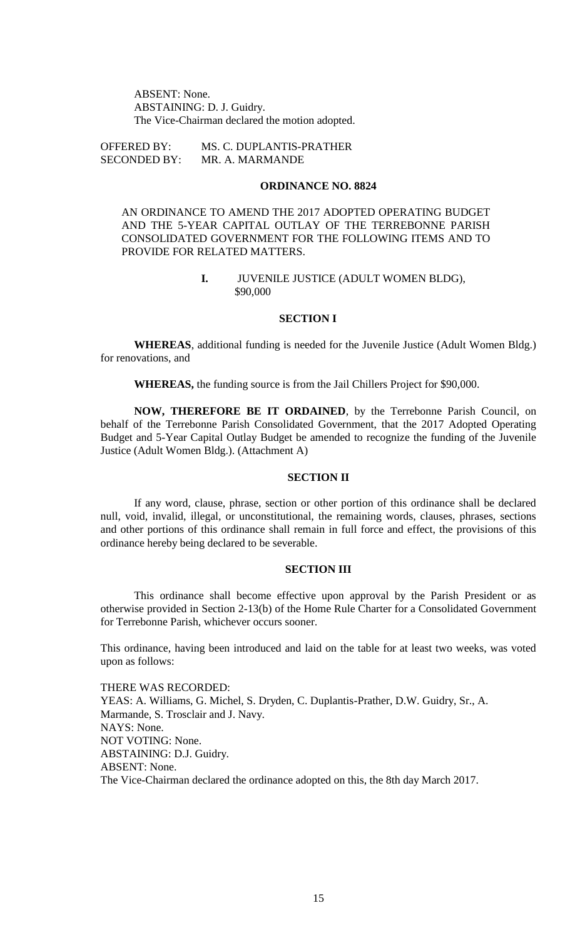ABSENT: None. ABSTAINING: D. J. Guidry. The Vice-Chairman declared the motion adopted.

OFFERED BY: MS. C. DUPLANTIS-PRATHER SECONDED BY: MR. A. MARMANDE

# **ORDINANCE NO. 8824**

AN ORDINANCE TO AMEND THE 2017 ADOPTED OPERATING BUDGET AND THE 5-YEAR CAPITAL OUTLAY OF THE TERREBONNE PARISH CONSOLIDATED GOVERNMENT FOR THE FOLLOWING ITEMS AND TO PROVIDE FOR RELATED MATTERS.

### **I.** JUVENILE JUSTICE (ADULT WOMEN BLDG), \$90,000

#### **SECTION I**

**WHEREAS**, additional funding is needed for the Juvenile Justice (Adult Women Bldg.) for renovations, and

**WHEREAS,** the funding source is from the Jail Chillers Project for \$90,000.

**NOW, THEREFORE BE IT ORDAINED**, by the Terrebonne Parish Council, on behalf of the Terrebonne Parish Consolidated Government, that the 2017 Adopted Operating Budget and 5-Year Capital Outlay Budget be amended to recognize the funding of the Juvenile Justice (Adult Women Bldg.). (Attachment A)

# **SECTION II**

If any word, clause, phrase, section or other portion of this ordinance shall be declared null, void, invalid, illegal, or unconstitutional, the remaining words, clauses, phrases, sections and other portions of this ordinance shall remain in full force and effect, the provisions of this ordinance hereby being declared to be severable.

#### **SECTION III**

This ordinance shall become effective upon approval by the Parish President or as otherwise provided in Section 2-13(b) of the Home Rule Charter for a Consolidated Government for Terrebonne Parish, whichever occurs sooner.

This ordinance, having been introduced and laid on the table for at least two weeks, was voted upon as follows:

THERE WAS RECORDED: YEAS: A. Williams, G. Michel, S. Dryden, C. Duplantis-Prather, D.W. Guidry, Sr., A. Marmande, S. Trosclair and J. Navy. NAYS: None. NOT VOTING: None. ABSTAINING: D.J. Guidry. ABSENT: None. The Vice-Chairman declared the ordinance adopted on this, the 8th day March 2017.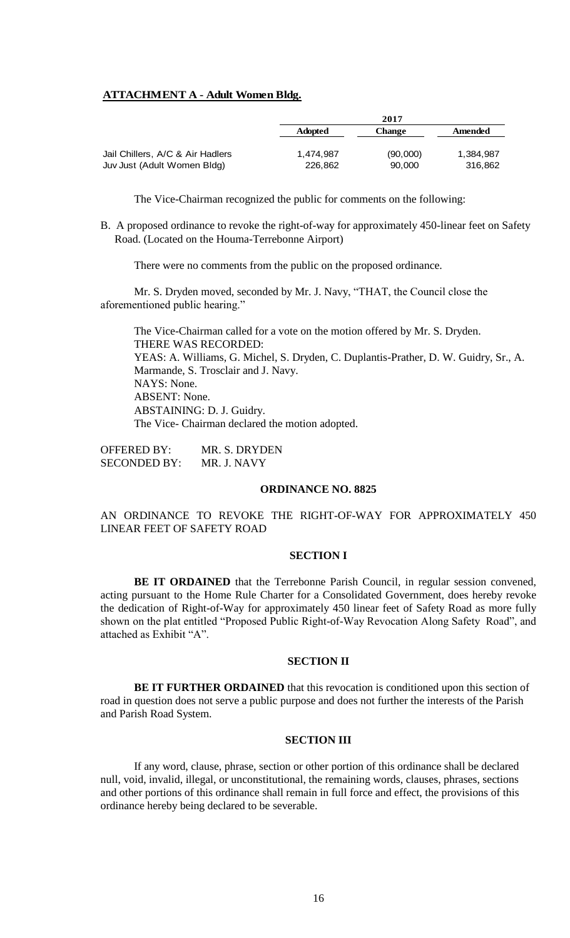# **ATTACHMENT A - Adult Women Bldg.**

|                                  |                | 2017          |           |
|----------------------------------|----------------|---------------|-----------|
|                                  | <b>Adopted</b> | <b>Change</b> | Amended   |
| Jail Chillers, A/C & Air Hadlers | 1.474.987      | (90,000)      | 1.384.987 |
| Juv Just (Adult Women Bldg)      | 226,862        | 90.000        | 316.862   |

The Vice-Chairman recognized the public for comments on the following:

B. A proposed ordinance to revoke the right-of-way for approximately 450-linear feet on Safety Road. (Located on the Houma-Terrebonne Airport)

There were no comments from the public on the proposed ordinance.

Mr. S. Dryden moved, seconded by Mr. J. Navy, "THAT, the Council close the aforementioned public hearing."

The Vice-Chairman called for a vote on the motion offered by Mr. S. Dryden. THERE WAS RECORDED: YEAS: A. Williams, G. Michel, S. Dryden, C. Duplantis-Prather, D. W. Guidry, Sr., A. Marmande, S. Trosclair and J. Navy. NAYS: None. ABSENT: None. ABSTAINING: D. J. Guidry. The Vice- Chairman declared the motion adopted.

OFFERED BY: MR. S. DRYDEN SECONDED BY: MR. J. NAVY

### **ORDINANCE NO. 8825**

AN ORDINANCE TO REVOKE THE RIGHT-OF-WAY FOR APPROXIMATELY 450 LINEAR FEET OF SAFETY ROAD

# **SECTION I**

**BE IT ORDAINED** that the Terrebonne Parish Council, in regular session convened, acting pursuant to the Home Rule Charter for a Consolidated Government, does hereby revoke the dedication of Right-of-Way for approximately 450 linear feet of Safety Road as more fully shown on the plat entitled "Proposed Public Right-of-Way Revocation Along Safety Road", and attached as Exhibit "A".

# **SECTION II**

**BE IT FURTHER ORDAINED** that this revocation is conditioned upon this section of road in question does not serve a public purpose and does not further the interests of the Parish and Parish Road System.

#### **SECTION III**

If any word, clause, phrase, section or other portion of this ordinance shall be declared null, void, invalid, illegal, or unconstitutional, the remaining words, clauses, phrases, sections and other portions of this ordinance shall remain in full force and effect, the provisions of this ordinance hereby being declared to be severable.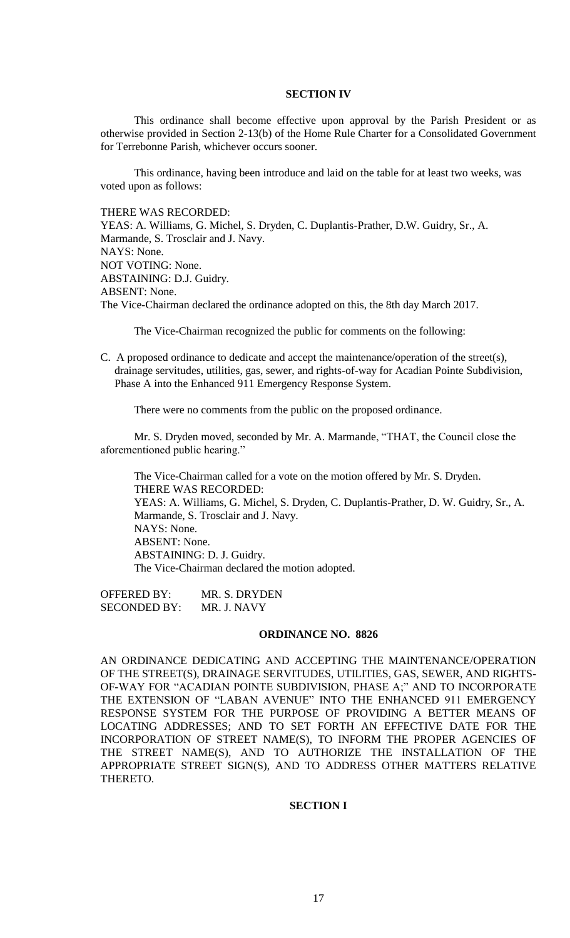### **SECTION IV**

This ordinance shall become effective upon approval by the Parish President or as otherwise provided in Section 2-13(b) of the Home Rule Charter for a Consolidated Government for Terrebonne Parish, whichever occurs sooner.

This ordinance, having been introduce and laid on the table for at least two weeks, was voted upon as follows:

THERE WAS RECORDED:

YEAS: A. Williams, G. Michel, S. Dryden, C. Duplantis-Prather, D.W. Guidry, Sr., A. Marmande, S. Trosclair and J. Navy. NAYS: None. NOT VOTING: None. ABSTAINING: D.J. Guidry. ABSENT: None. The Vice-Chairman declared the ordinance adopted on this, the 8th day March 2017.

The Vice-Chairman recognized the public for comments on the following:

C. A proposed ordinance to dedicate and accept the maintenance/operation of the street(s), drainage servitudes, utilities, gas, sewer, and rights-of-way for Acadian Pointe Subdivision, Phase A into the Enhanced 911 Emergency Response System.

There were no comments from the public on the proposed ordinance.

Mr. S. Dryden moved, seconded by Mr. A. Marmande, "THAT, the Council close the aforementioned public hearing."

The Vice-Chairman called for a vote on the motion offered by Mr. S. Dryden. THERE WAS RECORDED: YEAS: A. Williams, G. Michel, S. Dryden, C. Duplantis-Prather, D. W. Guidry, Sr., A. Marmande, S. Trosclair and J. Navy. NAYS: None. ABSENT: None. ABSTAINING: D. J. Guidry. The Vice-Chairman declared the motion adopted.

OFFERED BY: MR. S. DRYDEN SECONDED BY: MR. J. NAVY

### **ORDINANCE NO. 8826**

AN ORDINANCE DEDICATING AND ACCEPTING THE MAINTENANCE/OPERATION OF THE STREET(S), DRAINAGE SERVITUDES, UTILITIES, GAS, SEWER, AND RIGHTS-OF-WAY FOR "ACADIAN POINTE SUBDIVISION, PHASE A;" AND TO INCORPORATE THE EXTENSION OF "LABAN AVENUE" INTO THE ENHANCED 911 EMERGENCY RESPONSE SYSTEM FOR THE PURPOSE OF PROVIDING A BETTER MEANS OF LOCATING ADDRESSES; AND TO SET FORTH AN EFFECTIVE DATE FOR THE INCORPORATION OF STREET NAME(S), TO INFORM THE PROPER AGENCIES OF THE STREET NAME(S), AND TO AUTHORIZE THE INSTALLATION OF THE APPROPRIATE STREET SIGN(S), AND TO ADDRESS OTHER MATTERS RELATIVE THERETO.

### **SECTION I**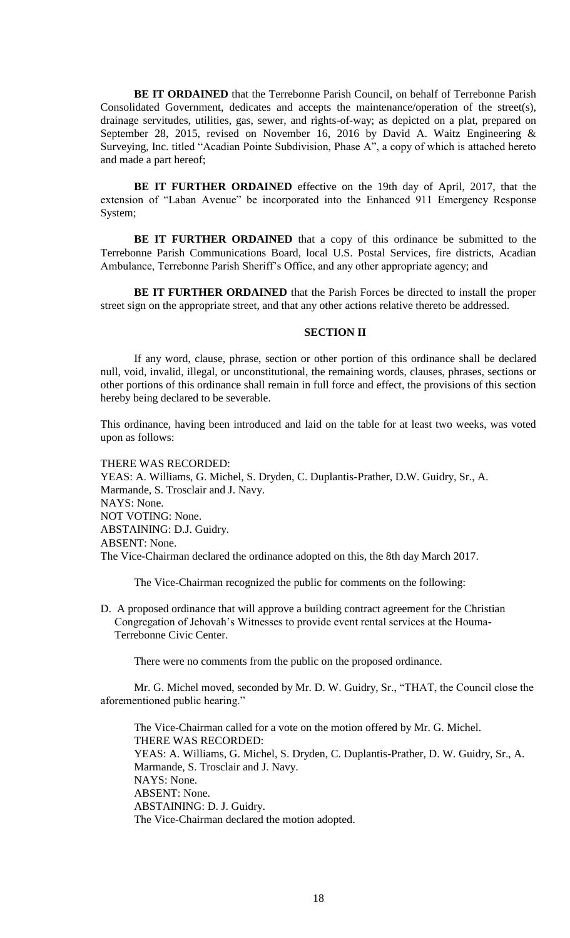**BE IT ORDAINED** that the Terrebonne Parish Council, on behalf of Terrebonne Parish Consolidated Government, dedicates and accepts the maintenance/operation of the street(s), drainage servitudes, utilities, gas, sewer, and rights-of-way; as depicted on a plat, prepared on September 28, 2015, revised on November 16, 2016 by David A. Waitz Engineering & Surveying, Inc. titled "Acadian Pointe Subdivision, Phase A", a copy of which is attached hereto and made a part hereof;

**BE IT FURTHER ORDAINED** effective on the 19th day of April, 2017, that the extension of "Laban Avenue" be incorporated into the Enhanced 911 Emergency Response System;

**BE IT FURTHER ORDAINED** that a copy of this ordinance be submitted to the Terrebonne Parish Communications Board, local U.S. Postal Services, fire districts, Acadian Ambulance, Terrebonne Parish Sheriff's Office, and any other appropriate agency; and

**BE IT FURTHER ORDAINED** that the Parish Forces be directed to install the proper street sign on the appropriate street, and that any other actions relative thereto be addressed.

### **SECTION II**

If any word, clause, phrase, section or other portion of this ordinance shall be declared null, void, invalid, illegal, or unconstitutional, the remaining words, clauses, phrases, sections or other portions of this ordinance shall remain in full force and effect, the provisions of this section hereby being declared to be severable.

This ordinance, having been introduced and laid on the table for at least two weeks, was voted upon as follows:

THERE WAS RECORDED: YEAS: A. Williams, G. Michel, S. Dryden, C. Duplantis-Prather, D.W. Guidry, Sr., A.

Marmande, S. Trosclair and J. Navy. NAYS: None. NOT VOTING: None. ABSTAINING: D.J. Guidry. ABSENT: None. The Vice-Chairman declared the ordinance adopted on this, the 8th day March 2017.

The Vice-Chairman recognized the public for comments on the following:

D. A proposed ordinance that will approve a building contract agreement for the Christian Congregation of Jehovah's Witnesses to provide event rental services at the Houma- Terrebonne Civic Center.

There were no comments from the public on the proposed ordinance.

Mr. G. Michel moved, seconded by Mr. D. W. Guidry, Sr., "THAT, the Council close the aforementioned public hearing."

The Vice-Chairman called for a vote on the motion offered by Mr. G. Michel. THERE WAS RECORDED: YEAS: A. Williams, G. Michel, S. Dryden, C. Duplantis-Prather, D. W. Guidry, Sr., A. Marmande, S. Trosclair and J. Navy. NAYS: None. ABSENT: None. ABSTAINING: D. J. Guidry. The Vice-Chairman declared the motion adopted.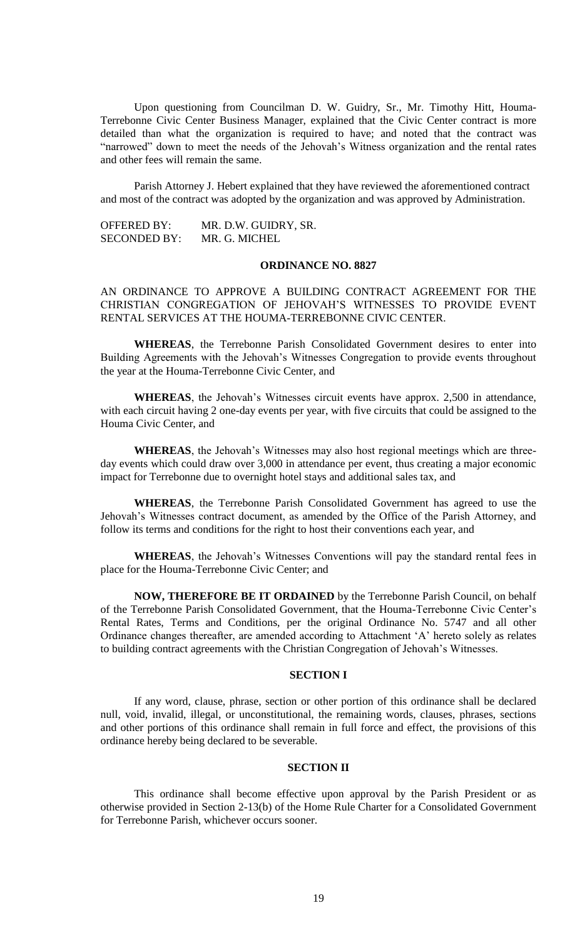Upon questioning from Councilman D. W. Guidry, Sr., Mr. Timothy Hitt, Houma-Terrebonne Civic Center Business Manager, explained that the Civic Center contract is more detailed than what the organization is required to have; and noted that the contract was "narrowed" down to meet the needs of the Jehovah's Witness organization and the rental rates and other fees will remain the same.

Parish Attorney J. Hebert explained that they have reviewed the aforementioned contract and most of the contract was adopted by the organization and was approved by Administration.

OFFERED BY: MR. D.W. GUIDRY, SR. SECONDED BY: MR. G. MICHEL

# **ORDINANCE NO. 8827**

AN ORDINANCE TO APPROVE A BUILDING CONTRACT AGREEMENT FOR THE CHRISTIAN CONGREGATION OF JEHOVAH'S WITNESSES TO PROVIDE EVENT RENTAL SERVICES AT THE HOUMA-TERREBONNE CIVIC CENTER.

**WHEREAS**, the Terrebonne Parish Consolidated Government desires to enter into Building Agreements with the Jehovah's Witnesses Congregation to provide events throughout the year at the Houma-Terrebonne Civic Center, and

**WHEREAS**, the Jehovah's Witnesses circuit events have approx. 2,500 in attendance, with each circuit having 2 one-day events per year, with five circuits that could be assigned to the Houma Civic Center, and

**WHEREAS**, the Jehovah's Witnesses may also host regional meetings which are threeday events which could draw over 3,000 in attendance per event, thus creating a major economic impact for Terrebonne due to overnight hotel stays and additional sales tax, and

**WHEREAS**, the Terrebonne Parish Consolidated Government has agreed to use the Jehovah's Witnesses contract document, as amended by the Office of the Parish Attorney, and follow its terms and conditions for the right to host their conventions each year, and

**WHEREAS**, the Jehovah's Witnesses Conventions will pay the standard rental fees in place for the Houma-Terrebonne Civic Center; and

**NOW, THEREFORE BE IT ORDAINED** by the Terrebonne Parish Council, on behalf of the Terrebonne Parish Consolidated Government, that the Houma-Terrebonne Civic Center's Rental Rates, Terms and Conditions, per the original Ordinance No. 5747 and all other Ordinance changes thereafter, are amended according to Attachment 'A' hereto solely as relates to building contract agreements with the Christian Congregation of Jehovah's Witnesses.

### **SECTION I**

If any word, clause, phrase, section or other portion of this ordinance shall be declared null, void, invalid, illegal, or unconstitutional, the remaining words, clauses, phrases, sections and other portions of this ordinance shall remain in full force and effect, the provisions of this ordinance hereby being declared to be severable.

#### **SECTION II**

This ordinance shall become effective upon approval by the Parish President or as otherwise provided in Section 2-13(b) of the Home Rule Charter for a Consolidated Government for Terrebonne Parish, whichever occurs sooner.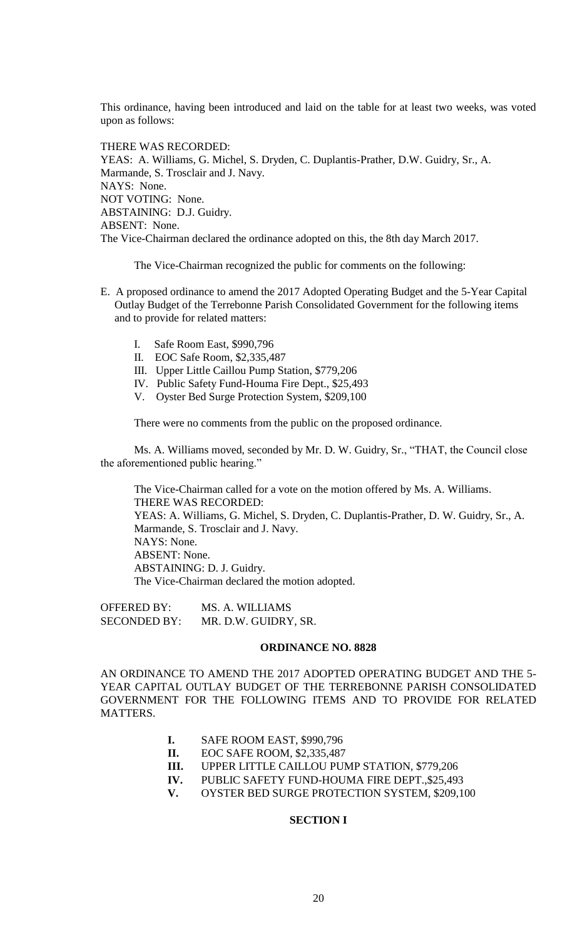This ordinance, having been introduced and laid on the table for at least two weeks, was voted upon as follows:

THERE WAS RECORDED: YEAS: A. Williams, G. Michel, S. Dryden, C. Duplantis-Prather, D.W. Guidry, Sr., A. Marmande, S. Trosclair and J. Navy. NAYS: None. NOT VOTING: None. ABSTAINING: D.J. Guidry. ABSENT: None. The Vice-Chairman declared the ordinance adopted on this, the 8th day March 2017.

The Vice-Chairman recognized the public for comments on the following:

- E. A proposed ordinance to amend the 2017 Adopted Operating Budget and the 5-Year Capital Outlay Budget of the Terrebonne Parish Consolidated Government for the following items and to provide for related matters:
	- I. Safe Room East, \$990,796
	- II. EOC Safe Room, \$2,335,487
	- III. Upper Little Caillou Pump Station, \$779,206
	- IV. Public Safety Fund-Houma Fire Dept., \$25,493
	- V. Oyster Bed Surge Protection System, \$209,100

There were no comments from the public on the proposed ordinance.

Ms. A. Williams moved, seconded by Mr. D. W. Guidry, Sr., "THAT, the Council close the aforementioned public hearing."

The Vice-Chairman called for a vote on the motion offered by Ms. A. Williams. THERE WAS RECORDED: YEAS: A. Williams, G. Michel, S. Dryden, C. Duplantis-Prather, D. W. Guidry, Sr., A. Marmande, S. Trosclair and J. Navy. NAYS: None. ABSENT: None. ABSTAINING: D. J. Guidry. The Vice-Chairman declared the motion adopted.

OFFERED BY: MS. A. WILLIAMS SECONDED BY: MR. D.W. GUIDRY, SR.

#### **ORDINANCE NO. 8828**

AN ORDINANCE TO AMEND THE 2017 ADOPTED OPERATING BUDGET AND THE 5- YEAR CAPITAL OUTLAY BUDGET OF THE TERREBONNE PARISH CONSOLIDATED GOVERNMENT FOR THE FOLLOWING ITEMS AND TO PROVIDE FOR RELATED MATTERS.

- **I.** SAFE ROOM EAST, \$990,796
- **II.** EOC SAFE ROOM, \$2,335,487
- **III.** UPPER LITTLE CAILLOU PUMP STATION, \$779,206
- **IV.** PUBLIC SAFETY FUND-HOUMA FIRE DEPT.,\$25,493
- **V.** OYSTER BED SURGE PROTECTION SYSTEM, \$209,100

### **SECTION I**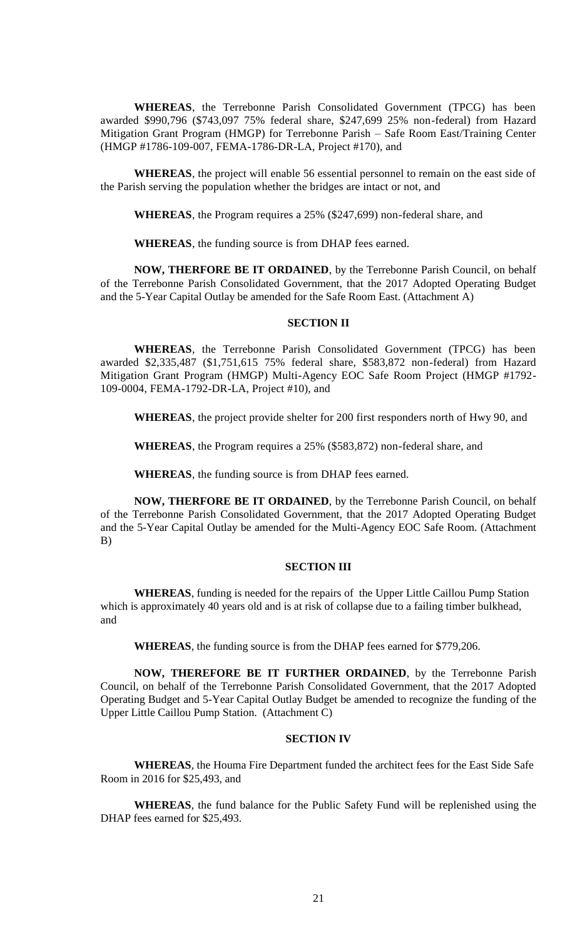**WHEREAS**, the Terrebonne Parish Consolidated Government (TPCG) has been awarded \$990,796 (\$743,097 75% federal share, \$247,699 25% non-federal) from Hazard Mitigation Grant Program (HMGP) for Terrebonne Parish – Safe Room East/Training Center (HMGP #1786-109-007, FEMA-1786-DR-LA, Project #170), and

**WHEREAS**, the project will enable 56 essential personnel to remain on the east side of the Parish serving the population whether the bridges are intact or not, and

**WHEREAS**, the Program requires a 25% (\$247,699) non-federal share, and

**WHEREAS**, the funding source is from DHAP fees earned.

**NOW, THERFORE BE IT ORDAINED**, by the Terrebonne Parish Council, on behalf of the Terrebonne Parish Consolidated Government, that the 2017 Adopted Operating Budget and the 5-Year Capital Outlay be amended for the Safe Room East. (Attachment A)

### **SECTION II**

**WHEREAS**, the Terrebonne Parish Consolidated Government (TPCG) has been awarded \$2,335,487 (\$1,751,615 75% federal share, \$583,872 non-federal) from Hazard Mitigation Grant Program (HMGP) Multi-Agency EOC Safe Room Project (HMGP #1792- 109-0004, FEMA-1792-DR-LA, Project #10), and

**WHEREAS**, the project provide shelter for 200 first responders north of Hwy 90, and

**WHEREAS**, the Program requires a 25% (\$583,872) non-federal share, and

**WHEREAS**, the funding source is from DHAP fees earned.

**NOW, THERFORE BE IT ORDAINED**, by the Terrebonne Parish Council, on behalf of the Terrebonne Parish Consolidated Government, that the 2017 Adopted Operating Budget and the 5-Year Capital Outlay be amended for the Multi-Agency EOC Safe Room. (Attachment B)

### **SECTION III**

**WHEREAS**, funding is needed for the repairs of the Upper Little Caillou Pump Station which is approximately 40 years old and is at risk of collapse due to a failing timber bulkhead, and

**WHEREAS**, the funding source is from the DHAP fees earned for \$779,206.

**NOW, THEREFORE BE IT FURTHER ORDAINED**, by the Terrebonne Parish Council, on behalf of the Terrebonne Parish Consolidated Government, that the 2017 Adopted Operating Budget and 5-Year Capital Outlay Budget be amended to recognize the funding of the Upper Little Caillou Pump Station. (Attachment C)

### **SECTION IV**

**WHEREAS**, the Houma Fire Department funded the architect fees for the East Side Safe Room in 2016 for \$25,493, and

**WHEREAS**, the fund balance for the Public Safety Fund will be replenished using the DHAP fees earned for \$25,493.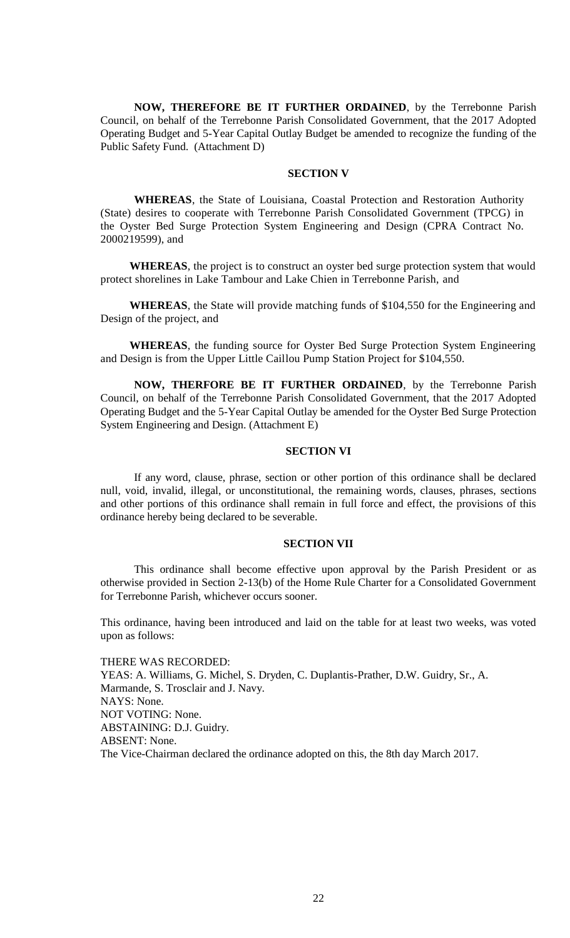**NOW, THEREFORE BE IT FURTHER ORDAINED**, by the Terrebonne Parish Council, on behalf of the Terrebonne Parish Consolidated Government, that the 2017 Adopted Operating Budget and 5-Year Capital Outlay Budget be amended to recognize the funding of the Public Safety Fund. (Attachment D)

# **SECTION V**

**WHEREAS**, the State of Louisiana, Coastal Protection and Restoration Authority (State) desires to cooperate with Terrebonne Parish Consolidated Government (TPCG) in the Oyster Bed Surge Protection System Engineering and Design (CPRA Contract No. 2000219599), and

 **WHEREAS**, the project is to construct an oyster bed surge protection system that would protect shorelines in Lake Tambour and Lake Chien in Terrebonne Parish, and

 **WHEREAS**, the State will provide matching funds of \$104,550 for the Engineering and Design of the project, and

 **WHEREAS**, the funding source for Oyster Bed Surge Protection System Engineering and Design is from the Upper Little Caillou Pump Station Project for \$104,550.

**NOW, THERFORE BE IT FURTHER ORDAINED**, by the Terrebonne Parish Council, on behalf of the Terrebonne Parish Consolidated Government, that the 2017 Adopted Operating Budget and the 5-Year Capital Outlay be amended for the Oyster Bed Surge Protection System Engineering and Design. (Attachment E)

### **SECTION VI**

If any word, clause, phrase, section or other portion of this ordinance shall be declared null, void, invalid, illegal, or unconstitutional, the remaining words, clauses, phrases, sections and other portions of this ordinance shall remain in full force and effect, the provisions of this ordinance hereby being declared to be severable.

### **SECTION VII**

This ordinance shall become effective upon approval by the Parish President or as otherwise provided in Section 2-13(b) of the Home Rule Charter for a Consolidated Government for Terrebonne Parish, whichever occurs sooner.

This ordinance, having been introduced and laid on the table for at least two weeks, was voted upon as follows:

THERE WAS RECORDED: YEAS: A. Williams, G. Michel, S. Dryden, C. Duplantis-Prather, D.W. Guidry, Sr., A. Marmande, S. Trosclair and J. Navy. NAYS: None. NOT VOTING: None. ABSTAINING: D.J. Guidry. ABSENT: None. The Vice-Chairman declared the ordinance adopted on this, the 8th day March 2017.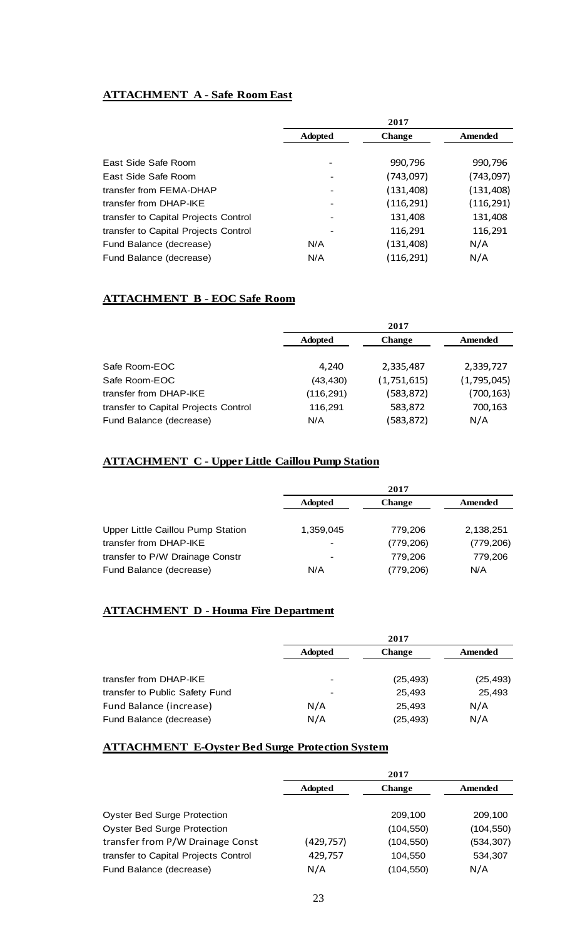# **ATTACHMENT A - Safe Room East**

|                                      | 2017           |               |            |
|--------------------------------------|----------------|---------------|------------|
|                                      | <b>Adopted</b> | <b>Change</b> | Amended    |
|                                      |                |               |            |
| East Side Safe Room                  |                | 990,796       | 990,796    |
| East Side Safe Room                  |                | (743,097)     | (743,097)  |
| transfer from FEMA-DHAP              |                | (131, 408)    | (131, 408) |
| transfer from DHAP-IKE               |                | (116, 291)    | (116,291)  |
| transfer to Capital Projects Control |                | 131,408       | 131,408    |
| transfer to Capital Projects Control |                | 116,291       | 116,291    |
| Fund Balance (decrease)              | N/A            | (131,408)     | N/A        |
| Fund Balance (decrease)              | N/A            | (116, 291)    | N/A        |

# **ATTACHMENT B - EOC Safe Room**

|                                      | 2017           |               |             |
|--------------------------------------|----------------|---------------|-------------|
|                                      | <b>Adopted</b> | <b>Change</b> | Amended     |
|                                      |                |               |             |
| Safe Room-EOC                        | 4.240          | 2,335,487     | 2,339,727   |
| Safe Room-EOC                        | (43, 430)      | (1,751,615)   | (1,795,045) |
| transfer from DHAP-IKE               | (116, 291)     | (583, 872)    | (700, 163)  |
| transfer to Capital Projects Control | 116,291        | 583,872       | 700,163     |
| Fund Balance (decrease)              | N/A            | (583,872)     | N/A         |

# **ATTACHMENT C - Upper Little Caillou Pump Station**

|                                   |                | 2017          |            |
|-----------------------------------|----------------|---------------|------------|
|                                   | <b>Adopted</b> | <b>Change</b> | Amended    |
| Upper Little Caillou Pump Station | 1.359.045      | 779.206       | 2,138,251  |
| transfer from DHAP-IKE            |                | (779, 206)    | (779, 206) |
| transfer to P/W Drainage Constr   |                | 779.206       | 779,206    |
| Fund Balance (decrease)           | N/A            | (779, 206)    | N/A        |

# **ATTACHMENT D - Houma Fire Department**

|                                | 2017           |               |           |
|--------------------------------|----------------|---------------|-----------|
|                                | <b>Adopted</b> | <b>Change</b> | Amended   |
| transfer from DHAP-IKE         |                | (25, 493)     | (25, 493) |
| transfer to Public Safety Fund |                | 25,493        | 25.493    |
| Fund Balance (increase)        | N/A            | 25.493        | N/A       |
| Fund Balance (decrease)        | N/A            | (25, 493)     | N/A       |

# **ATTACHMENT E-Oyster Bed Surge Protection System**

|                                      | 2017           |               |            |
|--------------------------------------|----------------|---------------|------------|
|                                      | <b>Adopted</b> | <b>Change</b> | Amended    |
|                                      |                |               |            |
| <b>Oyster Bed Surge Protection</b>   |                | 209,100       | 209,100    |
| <b>Oyster Bed Surge Protection</b>   |                | (104, 550)    | (104, 550) |
| transfer from P/W Drainage Const     | (429, 757)     | (104, 550)    | (534, 307) |
| transfer to Capital Projects Control | 429,757        | 104.550       | 534,307    |
| Fund Balance (decrease)              | N/A            | (104,550)     | N/A        |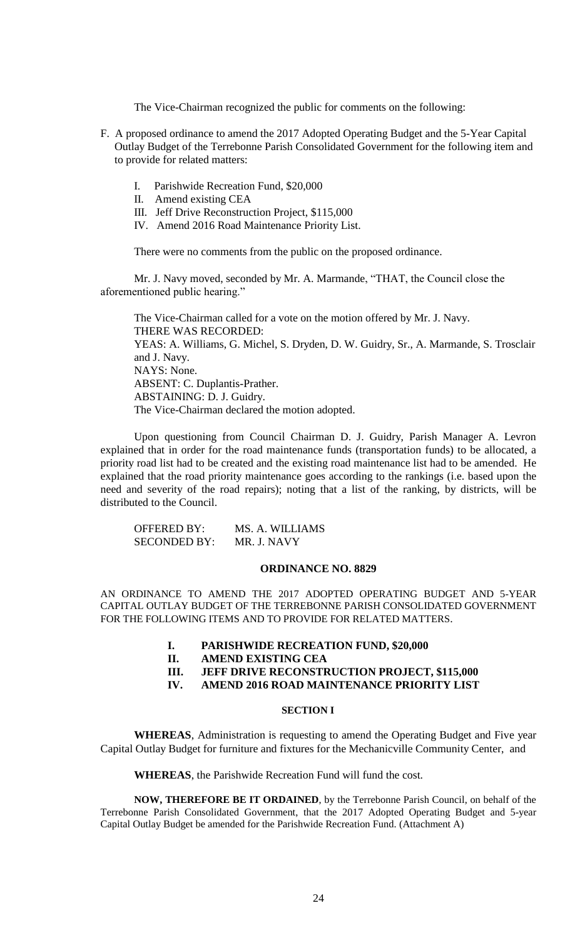The Vice-Chairman recognized the public for comments on the following:

- F. A proposed ordinance to amend the 2017 Adopted Operating Budget and the 5-Year Capital Outlay Budget of the Terrebonne Parish Consolidated Government for the following item and to provide for related matters:
	- I. Parishwide Recreation Fund, \$20,000
	- II. Amend existing CEA
	- III. Jeff Drive Reconstruction Project, \$115,000
	- IV. Amend 2016 Road Maintenance Priority List.

There were no comments from the public on the proposed ordinance.

Mr. J. Navy moved, seconded by Mr. A. Marmande, "THAT, the Council close the aforementioned public hearing."

The Vice-Chairman called for a vote on the motion offered by Mr. J. Navy. THERE WAS RECORDED: YEAS: A. Williams, G. Michel, S. Dryden, D. W. Guidry, Sr., A. Marmande, S. Trosclair and J. Navy. NAYS: None. ABSENT: C. Duplantis-Prather. ABSTAINING: D. J. Guidry. The Vice-Chairman declared the motion adopted.

Upon questioning from Council Chairman D. J. Guidry, Parish Manager A. Levron explained that in order for the road maintenance funds (transportation funds) to be allocated, a priority road list had to be created and the existing road maintenance list had to be amended. He explained that the road priority maintenance goes according to the rankings (i.e. based upon the need and severity of the road repairs); noting that a list of the ranking, by districts, will be distributed to the Council.

| <b>OFFERED BY:</b>  | MS. A. WILLIAMS |
|---------------------|-----------------|
| <b>SECONDED BY:</b> | MR. J. NAVY     |

#### **ORDINANCE NO. 8829**

AN ORDINANCE TO AMEND THE 2017 ADOPTED OPERATING BUDGET AND 5-YEAR CAPITAL OUTLAY BUDGET OF THE TERREBONNE PARISH CONSOLIDATED GOVERNMENT FOR THE FOLLOWING ITEMS AND TO PROVIDE FOR RELATED MATTERS.

- **I. PARISHWIDE RECREATION FUND, \$20,000**
- **II. AMEND EXISTING CEA**
- **III. JEFF DRIVE RECONSTRUCTION PROJECT, \$115,000**
- **IV. AMEND 2016 ROAD MAINTENANCE PRIORITY LIST**

### **SECTION I**

**WHEREAS**, Administration is requesting to amend the Operating Budget and Five year Capital Outlay Budget for furniture and fixtures for the Mechanicville Community Center, and

**WHEREAS**, the Parishwide Recreation Fund will fund the cost.

**NOW, THEREFORE BE IT ORDAINED**, by the Terrebonne Parish Council, on behalf of the Terrebonne Parish Consolidated Government, that the 2017 Adopted Operating Budget and 5-year Capital Outlay Budget be amended for the Parishwide Recreation Fund. (Attachment A)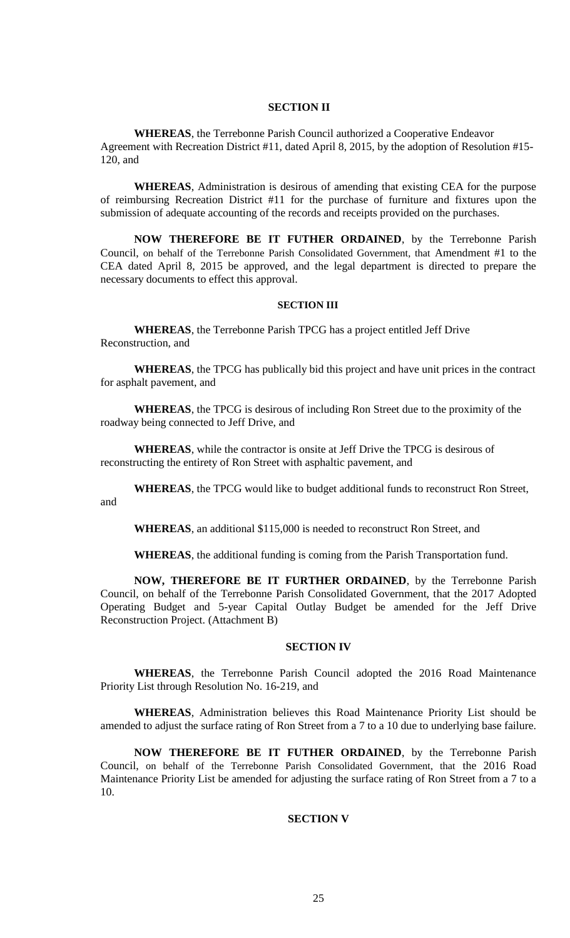## **SECTION II**

**WHEREAS**, the Terrebonne Parish Council authorized a Cooperative Endeavor Agreement with Recreation District #11, dated April 8, 2015, by the adoption of Resolution #15- 120, and

**WHEREAS**, Administration is desirous of amending that existing CEA for the purpose of reimbursing Recreation District #11 for the purchase of furniture and fixtures upon the submission of adequate accounting of the records and receipts provided on the purchases.

**NOW THEREFORE BE IT FUTHER ORDAINED**, by the Terrebonne Parish Council, on behalf of the Terrebonne Parish Consolidated Government, that Amendment #1 to the CEA dated April 8, 2015 be approved, and the legal department is directed to prepare the necessary documents to effect this approval.

#### **SECTION III**

**WHEREAS**, the Terrebonne Parish TPCG has a project entitled Jeff Drive Reconstruction, and

**WHEREAS**, the TPCG has publically bid this project and have unit prices in the contract for asphalt pavement, and

**WHEREAS**, the TPCG is desirous of including Ron Street due to the proximity of the roadway being connected to Jeff Drive, and

**WHEREAS**, while the contractor is onsite at Jeff Drive the TPCG is desirous of reconstructing the entirety of Ron Street with asphaltic pavement, and

**WHEREAS**, the TPCG would like to budget additional funds to reconstruct Ron Street, and

**WHEREAS**, an additional \$115,000 is needed to reconstruct Ron Street, and

**WHEREAS**, the additional funding is coming from the Parish Transportation fund.

**NOW, THEREFORE BE IT FURTHER ORDAINED**, by the Terrebonne Parish Council, on behalf of the Terrebonne Parish Consolidated Government, that the 2017 Adopted Operating Budget and 5-year Capital Outlay Budget be amended for the Jeff Drive Reconstruction Project. (Attachment B)

### **SECTION IV**

**WHEREAS**, the Terrebonne Parish Council adopted the 2016 Road Maintenance Priority List through Resolution No. 16-219, and

**WHEREAS**, Administration believes this Road Maintenance Priority List should be amended to adjust the surface rating of Ron Street from a 7 to a 10 due to underlying base failure.

**NOW THEREFORE BE IT FUTHER ORDAINED**, by the Terrebonne Parish Council, on behalf of the Terrebonne Parish Consolidated Government, that the 2016 Road Maintenance Priority List be amended for adjusting the surface rating of Ron Street from a 7 to a 10.

# **SECTION V**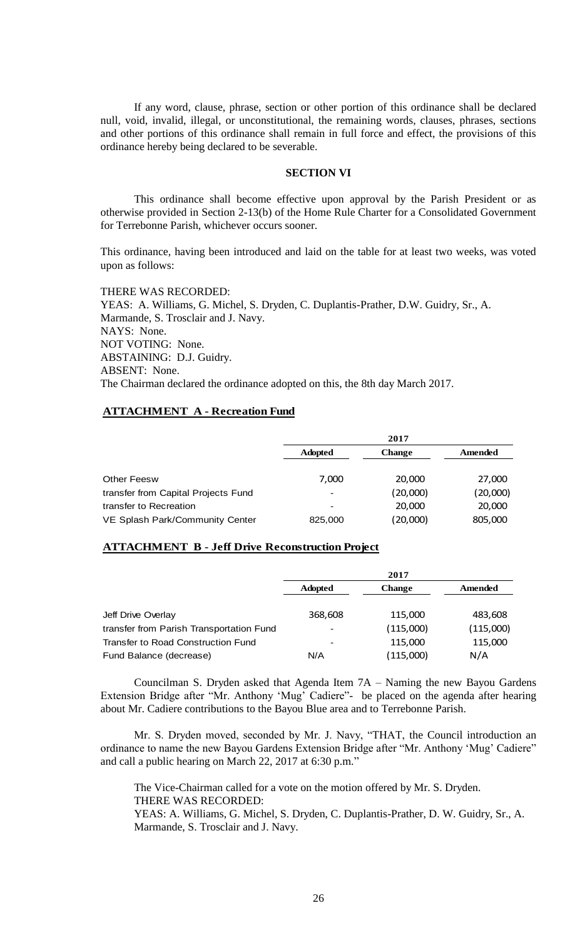If any word, clause, phrase, section or other portion of this ordinance shall be declared null, void, invalid, illegal, or unconstitutional, the remaining words, clauses, phrases, sections and other portions of this ordinance shall remain in full force and effect, the provisions of this ordinance hereby being declared to be severable.

### **SECTION VI**

This ordinance shall become effective upon approval by the Parish President or as otherwise provided in Section 2-13(b) of the Home Rule Charter for a Consolidated Government for Terrebonne Parish, whichever occurs sooner.

This ordinance, having been introduced and laid on the table for at least two weeks, was voted upon as follows:

THERE WAS RECORDED: YEAS: A. Williams, G. Michel, S. Dryden, C. Duplantis-Prather, D.W. Guidry, Sr., A. Marmande, S. Trosclair and J. Navy. NAYS: None. NOT VOTING: None. ABSTAINING: D.J. Guidry. ABSENT: None. The Chairman declared the ordinance adopted on this, the 8th day March 2017.

# **ATTACHMENT A - Recreation Fund**

|                                     | 2017                     |               |          |
|-------------------------------------|--------------------------|---------------|----------|
|                                     | <b>Adopted</b>           | <b>Change</b> | Amended  |
| <b>Other Feesw</b>                  | 7,000                    | 20,000        | 27,000   |
| transfer from Capital Projects Fund | $\overline{\phantom{0}}$ | (20,000)      | (20,000) |
| transfer to Recreation              |                          | 20,000        | 20,000   |
| VE Splash Park/Community Center     | 825,000                  | (20,000)      | 805,000  |

# **ATTACHMENT B - Jeff Drive Reconstruction Project**

|                                          | 2017           |               |           |
|------------------------------------------|----------------|---------------|-----------|
|                                          | <b>Adopted</b> | <b>Change</b> | Amended   |
|                                          |                |               |           |
| Jeff Drive Overlay                       | 368,608        | 115,000       | 483,608   |
| transfer from Parish Transportation Fund |                | (115,000)     | (115,000) |
| Transfer to Road Construction Fund       |                | 115,000       | 115,000   |
| Fund Balance (decrease)                  | N/A            | (115,000)     | N/A       |

Councilman S. Dryden asked that Agenda Item 7A – Naming the new Bayou Gardens Extension Bridge after "Mr. Anthony 'Mug' Cadiere"- be placed on the agenda after hearing about Mr. Cadiere contributions to the Bayou Blue area and to Terrebonne Parish.

Mr. S. Dryden moved, seconded by Mr. J. Navy, "THAT, the Council introduction an ordinance to name the new Bayou Gardens Extension Bridge after "Mr. Anthony 'Mug' Cadiere" and call a public hearing on March 22, 2017 at 6:30 p.m."

The Vice-Chairman called for a vote on the motion offered by Mr. S. Dryden. THERE WAS RECORDED:

YEAS: A. Williams, G. Michel, S. Dryden, C. Duplantis-Prather, D. W. Guidry, Sr., A. Marmande, S. Trosclair and J. Navy.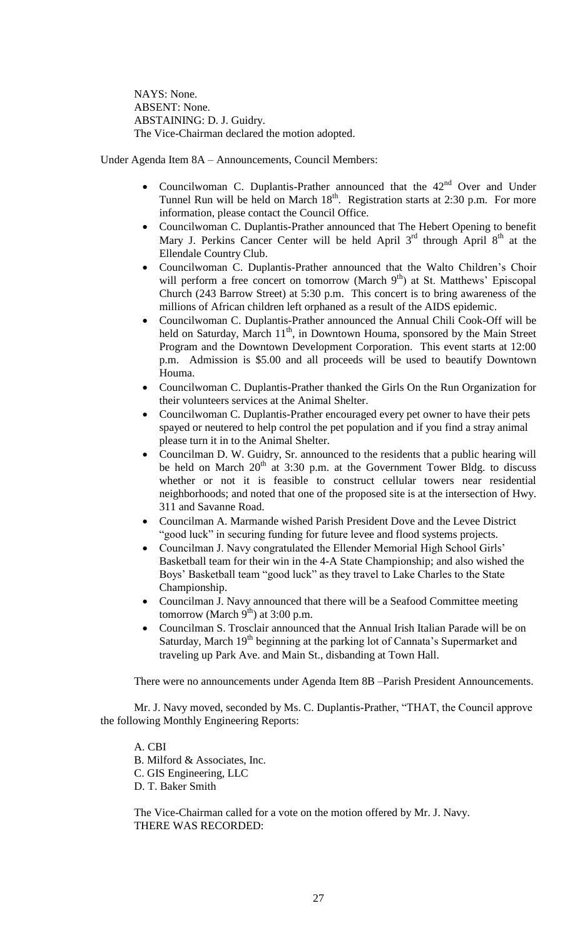NAYS: None. ABSENT: None. ABSTAINING: D. J. Guidry. The Vice-Chairman declared the motion adopted.

Under Agenda Item 8A – Announcements, Council Members:

- Councilwoman C. Duplantis-Prather announced that the  $42<sup>nd</sup>$  Over and Under Tunnel Run will be held on March  $18<sup>th</sup>$ . Registration starts at 2:30 p.m. For more information, please contact the Council Office.
- Councilwoman C. Duplantis-Prather announced that The Hebert Opening to benefit Mary J. Perkins Cancer Center will be held April  $3<sup>rd</sup>$  through April  $8<sup>th</sup>$  at the Ellendale Country Club.
- Councilwoman C. Duplantis-Prather announced that the Walto Children's Choir will perform a free concert on tomorrow (March  $9<sup>th</sup>$ ) at St. Matthews' Episcopal Church (243 Barrow Street) at 5:30 p.m. This concert is to bring awareness of the millions of African children left orphaned as a result of the AIDS epidemic.
- Councilwoman C. Duplantis-Prather announced the Annual Chili Cook-Off will be held on Saturday, March  $11<sup>th</sup>$ , in Downtown Houma, sponsored by the Main Street Program and the Downtown Development Corporation. This event starts at 12:00 p.m. Admission is \$5.00 and all proceeds will be used to beautify Downtown Houma.
- Councilwoman C. Duplantis-Prather thanked the Girls On the Run Organization for their volunteers services at the Animal Shelter.
- Councilwoman C. Duplantis-Prather encouraged every pet owner to have their pets spayed or neutered to help control the pet population and if you find a stray animal please turn it in to the Animal Shelter.
- Councilman D. W. Guidry, Sr. announced to the residents that a public hearing will be held on March  $20<sup>th</sup>$  at 3:30 p.m. at the Government Tower Bldg. to discuss whether or not it is feasible to construct cellular towers near residential neighborhoods; and noted that one of the proposed site is at the intersection of Hwy. 311 and Savanne Road.
- Councilman A. Marmande wished Parish President Dove and the Levee District "good luck" in securing funding for future levee and flood systems projects.
- Councilman J. Navy congratulated the Ellender Memorial High School Girls' Basketball team for their win in the 4-A State Championship; and also wished the Boys' Basketball team "good luck" as they travel to Lake Charles to the State Championship.
- Councilman J. Navy announced that there will be a Seafood Committee meeting tomorrow (March  $9^{th}$ ) at 3:00 p.m.
- Councilman S. Trosclair announced that the Annual Irish Italian Parade will be on Saturday, March 19<sup>th</sup> beginning at the parking lot of Cannata's Supermarket and traveling up Park Ave. and Main St., disbanding at Town Hall.

There were no announcements under Agenda Item 8B –Parish President Announcements.

Mr. J. Navy moved, seconded by Ms. C. Duplantis-Prather, "THAT, the Council approve the following Monthly Engineering Reports:

A. CBI B. Milford & Associates, Inc. C. GIS Engineering, LLC D. T. Baker Smith

The Vice-Chairman called for a vote on the motion offered by Mr. J. Navy. THERE WAS RECORDED: